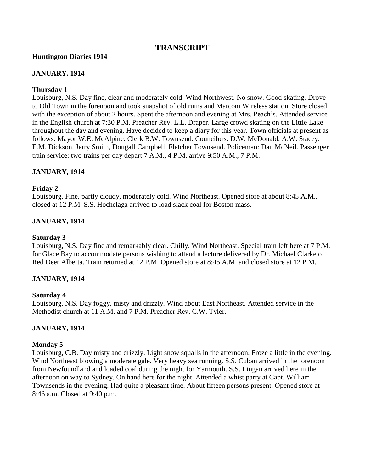# **TRANSCRIPT**

#### **Huntington Diaries 1914**

#### **JANUARY, 1914**

#### **Thursday 1**

Louisburg, N.S. Day fine, clear and moderately cold. Wind Northwest. No snow. Good skating. Drove to Old Town in the forenoon and took snapshot of old ruins and Marconi Wireless station. Store closed with the exception of about 2 hours. Spent the afternoon and evening at Mrs. Peach's. Attended service in the English church at 7:30 P.M. Preacher Rev. L.L. Draper. Large crowd skating on the Little Lake throughout the day and evening. Have decided to keep a diary for this year. Town officials at present as follows: Mayor W.E. McAlpine. Clerk B.W. Townsend. Councilors: D.W. McDonald, A.W. Stacey, E.M. Dickson, Jerry Smith, Dougall Campbell, Fletcher Townsend. Policeman: Dan McNeil. Passenger train service: two trains per day depart 7 A.M., 4 P.M. arrive 9:50 A.M., 7 P.M.

### **JANUARY, 1914**

### **Friday 2**

Louisburg, Fine, partly cloudy, moderately cold. Wind Northeast. Opened store at about 8:45 A.M., closed at 12 P.M. S.S. Hochelaga arrived to load slack coal for Boston mass.

### **JANUARY, 1914**

#### **Saturday 3**

Louisburg, N.S. Day fine and remarkably clear. Chilly. Wind Northeast. Special train left here at 7 P.M. for Glace Bay to accommodate persons wishing to attend a lecture delivered by Dr. Michael Clarke of Red Deer Alberta. Train returned at 12 P.M. Opened store at 8:45 A.M. and closed store at 12 P.M.

#### **JANUARY, 1914**

#### **Saturday 4**

Louisburg, N.S. Day foggy, misty and drizzly. Wind about East Northeast. Attended service in the Methodist church at 11 A.M. and 7 P.M. Preacher Rev. C.W. Tyler.

#### **JANUARY, 1914**

#### **Monday 5**

Louisburg, C.B. Day misty and drizzly. Light snow squalls in the afternoon. Froze a little in the evening. Wind Northeast blowing a moderate gale. Very heavy sea running. S.S. Cuban arrived in the forenoon from Newfoundland and loaded coal during the night for Yarmouth. S.S. Lingan arrived here in the afternoon on way to Sydney. On hand here for the night. Attended a whist party at Capt. William Townsends in the evening. Had quite a pleasant time. About fifteen persons present. Opened store at 8:46 a.m. Closed at 9:40 p.m.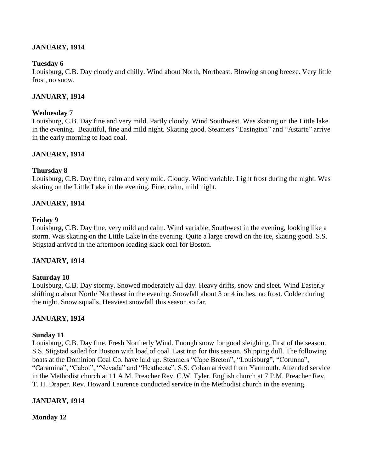## **JANUARY, 1914**

#### **Tuesday 6**

Louisburg, C.B. Day cloudy and chilly. Wind about North, Northeast. Blowing strong breeze. Very little frost, no snow.

#### **JANUARY, 1914**

#### **Wednesday 7**

Louisburg, C.B. Day fine and very mild. Partly cloudy. Wind Southwest. Was skating on the Little lake in the evening. Beautiful, fine and mild night. Skating good. Steamers "Easington" and "Astarte" arrive in the early morning to load coal.

### **JANUARY, 1914**

#### **Thursday 8**

Louisburg, C.B. Day fine, calm and very mild. Cloudy. Wind variable. Light frost during the night. Was skating on the Little Lake in the evening. Fine, calm, mild night.

#### **JANUARY, 1914**

#### **Friday 9**

Louisburg, C.B. Day fine, very mild and calm. Wind variable, Southwest in the evening, looking like a storm. Was skating on the Little Lake in the evening. Quite a large crowd on the ice, skating good. S.S. Stigstad arrived in the afternoon loading slack coal for Boston.

#### **JANUARY, 1914**

#### **Saturday 10**

Louisburg, C.B. Day stormy. Snowed moderately all day. Heavy drifts, snow and sleet. Wind Easterly shifting o about North/ Northeast in the evening. Snowfall about 3 or 4 inches, no frost. Colder during the night. Snow squalls. Heaviest snowfall this season so far.

#### **JANUARY, 1914**

#### **Sunday 11**

Louisburg, C.B. Day fine. Fresh Northerly Wind. Enough snow for good sleighing. First of the season. S.S. Stigstad sailed for Boston with load of coal. Last trip for this season. Shipping dull. The following boats at the Dominion Coal Co. have laid up. Steamers "Cape Breton", "Louisburg", "Corunna", "Caramina", "Cabot", "Nevada" and "Heathcote". S.S. Cohan arrived from Yarmouth. Attended service in the Methodist church at 11 A.M. Preacher Rev. C.W. Tyler. English church at 7 P.M. Preacher Rev. T. H. Draper. Rev. Howard Laurence conducted service in the Methodist church in the evening.

#### **JANUARY, 1914**

**Monday 12**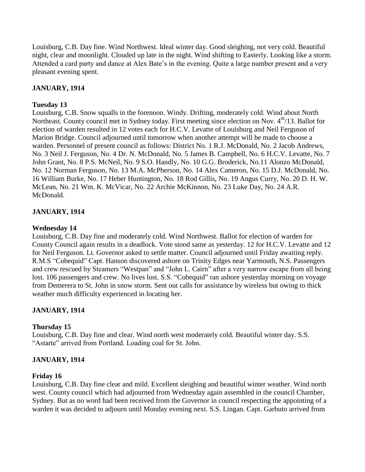Louisburg, C.B. Day fine. Wind Northwest. Ideal winter day. Good sleighing, not very cold. Beautiful night, clear and moonlight. Clouded up late in the night. Wind shifting to Easterly. Looking like a storm. Attended a card party and dance at Alex Bate"s in the evening. Quite a large number present and a very pleasant evening spent.

# **JANUARY, 1914**

### **Tuesday 13**

Louisburg, C.B. Snow squalls in the forenoon. Windy. Drifting, moderately cold. Wind about North Northeast. County council met in Sydney today. First meeting since election on Nov.  $4^{th}/13$ . Ballot for election of warden resulted in 12 votes each for H.C.V. Levatte of Louisburg and Neil Ferguson of Marion Bridge. Council adjourned until tomorrow when another attempt will be made to choose a warden. Personnel of present council as follows: District No. 1 R.J. McDonald, No. 2 Jacob Andrews, No. 3 Neil J. Ferguson, No. 4 Dr. N. McDonald, No. 5 James B. Campbell, No. 6 H.C.V. Levatte, No. 7 John Grant, No. 8 P.S. McNeil, No. 9 S.O. Handly, No. 10 G.G. Broderick, No.11 Alonzo McDonald, No. 12 Norman Ferguson, No. 13 M.A. McPherson, No. 14 Alex Cameron, No. 15 D.J. McDonald, No. 16 William Burke, No. 17 Heber Huntington, No. 18 Rod Gillis, No. 19 Angus Curry, No. 20 D. H. W. McLean, No. 21 Wm. K. McVicar, No. 22 Archie McKinnon, No. 23 Luke Day, No. 24 A.R. McDonald.

# **JANUARY, 1914**

### **Wednesday 14**

Louisburg, C.B. Day fine and moderately cold. Wind Northwest. Ballot for election of warden for County Council again results in a deadlock. Vote stood same as yesterday. 12 for H.C.V. Levatte and 12 for Neil Ferguson. Lt. Governor asked to settle matter. Council adjourned until Friday awaiting reply. R.M.S "Cobequid" Capt. Hanson discovered ashore on Trinity Edges near Yarmouth, N.S. Passengers and crew rescued by Steamers "Westpan" and "John L. Cairn" after a very narrow escape from all being lost. 106 passengers and crew. No lives lost. S.S. "Cobequid" ran ashore yesterday morning on voyage from Demerera to St. John in snow storm. Sent out calls for assistance by wireless but owing to thick weather much difficulty experienced in locating her.

# **JANUARY, 1914**

# **Thursday 15**

Louisburg, C.B. Day fine and clear. Wind north west moderately cold. Beautiful winter day. S.S. "Astarte" arrived from Portland. Loading coal for St. John.

# **JANUARY, 1914**

### **Friday 16**

Louisburg, C.B. Day fine clear and mild. Excellent sleighing and beautiful winter weather. Wind north west. County council which had adjourned from Wednesday again assembled in the council Chamber, Sydney. But as no word had been received from the Governor in council respecting the appointing of a warden it was decided to adjourn until Monday evening next. S.S. Lingan. Capt. Garbuto arrived from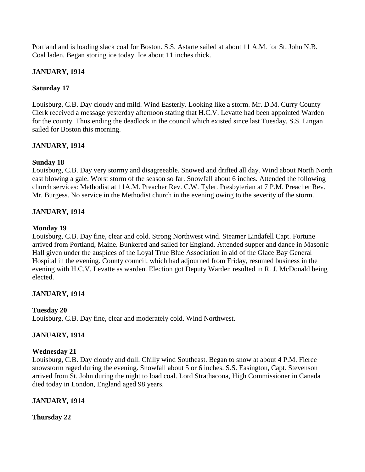Portland and is loading slack coal for Boston. S.S. Astarte sailed at about 11 A.M. for St. John N.B. Coal laden. Began storing ice today. Ice about 11 inches thick.

## **JANUARY, 1914**

### **Saturday 17**

Louisburg, C.B. Day cloudy and mild. Wind Easterly. Looking like a storm. Mr. D.M. Curry County Clerk received a message yesterday afternoon stating that H.C.V. Levatte had been appointed Warden for the county. Thus ending the deadlock in the council which existed since last Tuesday. S.S. Lingan sailed for Boston this morning.

### **JANUARY, 1914**

### **Sunday 18**

Louisburg, C.B. Day very stormy and disagreeable. Snowed and drifted all day. Wind about North North east blowing a gale. Worst storm of the season so far. Snowfall about 6 inches. Attended the following church services: Methodist at 11A.M. Preacher Rev. C.W. Tyler. Presbyterian at 7 P.M. Preacher Rev. Mr. Burgess. No service in the Methodist church in the evening owing to the severity of the storm.

# **JANUARY, 1914**

### **Monday 19**

Louisburg, C.B. Day fine, clear and cold. Strong Northwest wind. Steamer Lindafell Capt. Fortune arrived from Portland, Maine. Bunkered and sailed for England. Attended supper and dance in Masonic Hall given under the auspices of the Loyal True Blue Association in aid of the Glace Bay General Hospital in the evening. County council, which had adjourned from Friday, resumed business in the evening with H.C.V. Levatte as warden. Election got Deputy Warden resulted in R. J. McDonald being elected.

### **JANUARY, 1914**

### **Tuesday 20**

Louisburg, C.B. Day fine, clear and moderately cold. Wind Northwest.

### **JANUARY, 1914**

# **Wednesday 21**

Louisburg, C.B. Day cloudy and dull. Chilly wind Southeast. Began to snow at about 4 P.M. Fierce snowstorm raged during the evening. Snowfall about 5 or 6 inches. S.S. Easington, Capt. Stevenson arrived from St. John during the night to load coal. Lord Strathacona, High Commissioner in Canada died today in London, England aged 98 years.

### **JANUARY, 1914**

**Thursday 22**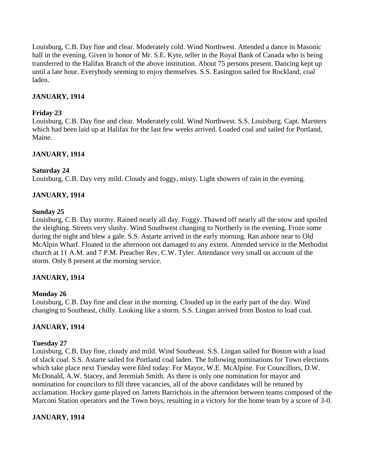Louisburg, C.B. Day fine and clear. Moderately cold. Wind Northwest. Attended a dance in Masonic hall in the evening. Given in honor of Mr. S.E. Kyte, teller in the Royal Bank of Canada who is being transferred to the Halifax Branch of the above institution. About 75 persons present. Dancing kept up until a late hour. Everybody seeming to enjoy themselves. S.S. Easington sailed for Rockland, coal laden.

## **JANUARY, 1914**

### **Friday 23**

Louisburg, C.B. Day fine and clear. Moderately cold. Wind Northwest. S.S. Louisburg. Capt. Marsters which had been laid up at Halifax for the last few weeks arrived. Loaded coal and sailed for Portland, Maine.

### **JANUARY, 1914**

### **Saturday 24**

Louisburg, C.B. Day very mild. Cloudy and foggy, misty. Light showers of rain in the evening.

### **JANUARY, 1914**

### **Sunday 25**

Louisburg, C.B. Day stormy. Rained nearly all day. Foggy. Thawed off nearly all the snow and spoiled the sleighing. Streets very slushy. Wind Southwest changing to Northerly in the evening. Froze some during the night and blew a gale. S.S. Astarte arrived in the early morning. Ran ashore near to Old McAlpin Wharf. Floated in the afternoon not damaged to any extent. Attended service in the Methodist church at 11 A.M. and 7 P.M. Preacher Rev. C.W. Tyler. Attendance very small on account of the storm. Only 8 present at the morning service.

### **JANUARY, 1914**

### **Monday 26**

Louisburg, C.B. Day fine and clear in the morning. Clouded up in the early part of the day. Wind changing to Southeast, chilly. Looking like a storm. S.S. Lingan arrived from Boston to load coal.

### **JANUARY, 1914**

### **Tuesday 27**

Louisburg, C.B. Day fine, cloudy and mild. Wind Southeast. S.S. Lingan sailed for Boston with a load of slack coal. S.S. Astarte sailed for Portland coal laden. The following nominations for Town elections which take place next Tuesday were filed today: For Mayor, W.E. McAlpine. For Councillors, D.W. McDonald, A.W. Stacey, and Jeremiah Smith. As there is only one nomination for mayor and nomination for councilors to fill three vacancies, all of the above candidates will be retuned by acclamation. Hockey game played on Jarrets Barrichois in the afternoon between teams composed of the Marconi Station operators and the Town boys, resulting in a victory for the home team by a score of 3-0.

### **JANUARY, 1914**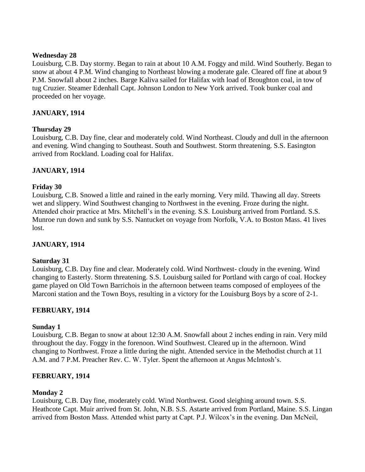### **Wednesday 28**

Louisburg, C.B. Day stormy. Began to rain at about 10 A.M. Foggy and mild. Wind Southerly. Began to snow at about 4 P.M. Wind changing to Northeast blowing a moderate gale. Cleared off fine at about 9 P.M. Snowfall about 2 inches. Barge Kaliva sailed for Halifax with load of Broughton coal, in tow of tug Cruzier. Steamer Edenhall Capt. Johnson London to New York arrived. Took bunker coal and proceeded on her voyage.

### **JANUARY, 1914**

### **Thursday 29**

Louisburg, C.B. Day fine, clear and moderately cold. Wind Northeast. Cloudy and dull in the afternoon and evening. Wind changing to Southeast. South and Southwest. Storm threatening. S.S. Easington arrived from Rockland. Loading coal for Halifax.

### **JANUARY, 1914**

### **Friday 30**

Louisburg, C.B. Snowed a little and rained in the early morning. Very mild. Thawing all day. Streets wet and slippery. Wind Southwest changing to Northwest in the evening. Froze during the night. Attended choir practice at Mrs. Mitchell"s in the evening. S.S. Louisburg arrived from Portland. S.S. Munroe run down and sunk by S.S. Nantucket on voyage from Norfolk, V.A. to Boston Mass. 41 lives lost.

### **JANUARY, 1914**

### **Saturday 31**

Louisburg, C.B. Day fine and clear. Moderately cold. Wind Northwest- cloudy in the evening. Wind changing to Easterly. Storm threatening. S.S. Louisburg sailed for Portland with cargo of coal. Hockey game played on Old Town Barrichois in the afternoon between teams composed of employees of the Marconi station and the Town Boys, resulting in a victory for the Louisburg Boys by a score of 2-1.

### **FEBRUARY, 1914**

### **Sunday 1**

Louisburg, C.B. Began to snow at about 12:30 A.M. Snowfall about 2 inches ending in rain. Very mild throughout the day. Foggy in the forenoon. Wind Southwest. Cleared up in the afternoon. Wind changing to Northwest. Froze a little during the night. Attended service in the Methodist church at 11 A.M. and 7 P.M. Preacher Rev. C. W. Tyler. Spent the afternoon at Angus McIntosh"s.

### **FEBRUARY, 1914**

### **Monday 2**

Louisburg, C.B. Day fine, moderately cold. Wind Northwest. Good sleighing around town. S.S. Heathcote Capt. Muir arrived from St. John, N.B. S.S. Astarte arrived from Portland, Maine. S.S. Lingan arrived from Boston Mass. Attended whist party at Capt. P.J. Wilcox"s in the evening. Dan McNeil,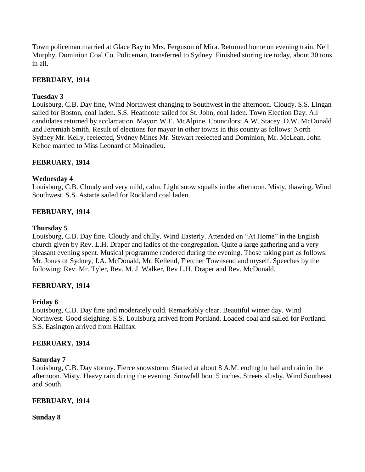Town policeman married at Glace Bay to Mrs. Ferguson of Mira. Returned home on evening train. Neil Murphy, Dominion Coal Co. Policeman, transferred to Sydney. Finished storing ice today, about 30 tons in all.

# **FEBRUARY, 1914**

## **Tuesday 3**

Louisburg, C.B. Day fine, Wind Northwest changing to Southwest in the afternoon. Cloudy. S.S. Lingan sailed for Boston, coal laden. S.S. Heathcote sailed for St. John, coal laden. Town Election Day. All candidates returned by acclamation. Mayor: W.E. McAlpine. Councilors: A.W. Stacey. D.W. McDonald and Jeremiah Smith. Result of elections for mayor in other towns in this county as follows: North Sydney Mr. Kelly, reelected, Sydney Mines Mr. Stewart reelected and Dominion, Mr. McLean. John Kehoe married to Miss Leonard of Mainadieu.

### **FEBRUARY, 1914**

### **Wednesday 4**

Louisburg, C.B. Cloudy and very mild, calm. Light snow squalls in the afternoon. Misty, thawing. Wind Southwest. S.S. Astarte sailed for Rockland coal laden.

### **FEBRUARY, 1914**

### **Thursday 5**

Louisburg, C.B. Day fine. Cloudy and chilly. Wind Easterly. Attended on "At Home" in the English church given by Rev. L.H. Draper and ladies of the congregation. Quite a large gathering and a very pleasant evening spent. Musical programme rendered during the evening. Those taking part as follows: Mr. Jones of Sydney, J.A. McDonald, Mr. Kellend, Fletcher Townsend and myself. Speeches by the following: Rev. Mr. Tyler, Rev. M. J. Walker, Rev L.H. Draper and Rev. McDonald.

### **FEBRUARY, 1914**

### **Friday 6**

Louisburg, C.B. Day fine and moderately cold. Remarkably clear. Beautiful winter day. Wind Northwest. Good sleighing. S.S. Louisburg arrived from Portland. Loaded coal and sailed for Portland. S.S. Easington arrived from Halifax.

### **FEBRUARY, 1914**

### **Saturday 7**

Louisburg, C.B. Day stormy. Fierce snowstorm. Started at about 8 A.M. ending in hail and rain in the afternoon. Misty. Heavy rain during the evening. Snowfall bout 5 inches. Streets slushy. Wind Southeast and South.

### **FEBRUARY, 1914**

### **Sunday 8**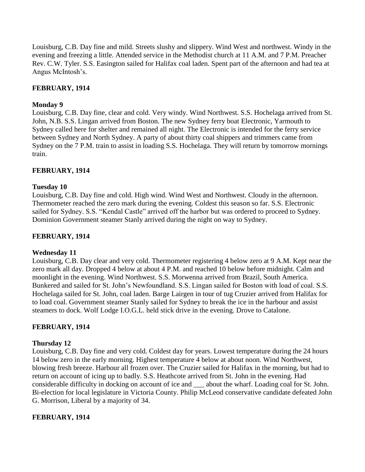Louisburg, C.B. Day fine and mild. Streets slushy and slippery. Wind West and northwest. Windy in the evening and freezing a little. Attended service in the Methodist church at 11 A.M. and 7 P.M. Preacher Rev. C.W. Tyler. S.S. Easington sailed for Halifax coal laden. Spent part of the afternoon and had tea at Angus McIntosh"s.

## **FEBRUARY, 1914**

### **Monday 9**

Louisburg, C.B. Day fine, clear and cold. Very windy. Wind Northwest. S.S. Hochelaga arrived from St. John, N.B. S.S. Lingan arrived from Boston. The new Sydney ferry boat Electronic, Yarmouth to Sydney called here for shelter and remained all night. The Electronic is intended for the ferry service between Sydney and North Sydney. A party of about thirty coal shippers and trimmers came from Sydney on the 7 P.M. train to assist in loading S.S. Hochelaga. They will return by tomorrow mornings train.

### **FEBRUARY, 1914**

#### **Tuesday 10**

Louisburg, C.B. Day fine and cold. High wind. Wind West and Northwest. Cloudy in the afternoon. Thermometer reached the zero mark during the evening. Coldest this season so far. S.S. Electronic sailed for Sydney. S.S. "Kendal Castle" arrived off the harbor but was ordered to proceed to Sydney. Dominion Government steamer Stanly arrived during the night on way to Sydney.

### **FEBRUARY, 1914**

#### **Wednesday 11**

Louisburg, C.B. Day clear and very cold. Thermometer registering 4 below zero at 9 A.M. Kept near the zero mark all day. Dropped 4 below at about 4 P.M. and reached 10 below before midnight. Calm and moonlight in the evening. Wind Northwest. S.S. Morwenna arrived from Brazil, South America. Bunkered and sailed for St. John"s Newfoundland. S.S. Lingan sailed for Boston with load of coal. S.S. Hochelaga sailed for St. John, coal laden. Barge Lairgen in tour of tug Cruzier arrived from Halifax for to load coal. Government steamer Stanly sailed for Sydney to break the ice in the harbour and assist steamers to dock. Wolf Lodge I.O.G.L. held stick drive in the evening. Drove to Catalone.

### **FEBRUARY, 1914**

#### **Thursday 12**

Louisburg, C.B. Day fine and very cold. Coldest day for years. Lowest temperature during the 24 hours 14 below zero in the early morning. Highest temperature 4 below at about noon. Wind Northwest, blowing fresh breeze. Harbour all frozen over. The Cruzier sailed for Halifax in the morning, but had to return on account of icing up to badly. S.S. Heathcote arrived from St. John in the evening. Had considerable difficulty in docking on account of ice and \_\_\_ about the wharf. Loading coal for St. John. Bi-election for local legislature in Victoria County. Philip McLeod conservative candidate defeated John G. Morrison, Liberal by a majority of 34.

### **FEBRUARY, 1914**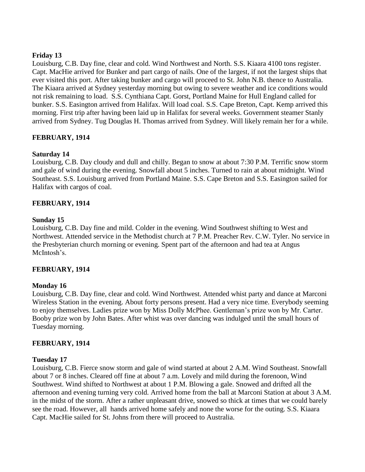## **Friday 13**

Louisburg, C.B. Day fine, clear and cold. Wind Northwest and North. S.S. Kiaara 4100 tons register. Capt. MacHie arrived for Bunker and part cargo of nails. One of the largest, if not the largest ships that ever visited this port. After taking bunker and cargo will proceed to St. John N.B. thence to Australia. The Kiaara arrived at Sydney yesterday morning but owing to severe weather and ice conditions would not risk remaining to load. S.S. Cynthiana Capt. Gorst, Portland Maine for Hull England called for bunker. S.S. Easington arrived from Halifax. Will load coal. S.S. Cape Breton, Capt. Kemp arrived this morning. First trip after having been laid up in Halifax for several weeks. Government steamer Stanly arrived from Sydney. Tug Douglas H. Thomas arrived from Sydney. Will likely remain her for a while.

# **FEBRUARY, 1914**

### **Saturday 14**

Louisburg, C.B. Day cloudy and dull and chilly. Began to snow at about 7:30 P.M. Terrific snow storm and gale of wind during the evening. Snowfall about 5 inches. Turned to rain at about midnight. Wind Southeast. S.S. Louisburg arrived from Portland Maine. S.S. Cape Breton and S.S. Easington sailed for Halifax with cargos of coal.

### **FEBRUARY, 1914**

### **Sunday 15**

Louisburg, C.B. Day fine and mild. Colder in the evening. Wind Southwest shifting to West and Northwest. Attended service in the Methodist church at 7 P.M. Preacher Rev. C.W. Tyler. No service in the Presbyterian church morning or evening. Spent part of the afternoon and had tea at Angus McIntosh's

### **FEBRUARY, 1914**

#### **Monday 16**

Louisburg, C.B. Day fine, clear and cold. Wind Northwest. Attended whist party and dance at Marconi Wireless Station in the evening. About forty persons present. Had a very nice time. Everybody seeming to enjoy themselves. Ladies prize won by Miss Dolly McPhee. Gentleman"s prize won by Mr. Carter. Booby prize won by John Bates. After whist was over dancing was indulged until the small hours of Tuesday morning.

#### **FEBRUARY, 1914**

#### **Tuesday 17**

Louisburg, C.B. Fierce snow storm and gale of wind started at about 2 A.M. Wind Southeast. Snowfall about 7 or 8 inches. Cleared off fine at about 7 a.m. Lovely and mild during the forenoon, Wind Southwest. Wind shifted to Northwest at about 1 P.M. Blowing a gale. Snowed and drifted all the afternoon and evening turning very cold. Arrived home from the ball at Marconi Station at about 3 A.M. in the midst of the storm. After a rather unpleasant drive, snowed so thick at times that we could barely see the road. However, all hands arrived home safely and none the worse for the outing. S.S. Kiaara Capt. MacHie sailed for St. Johns from there will proceed to Australia.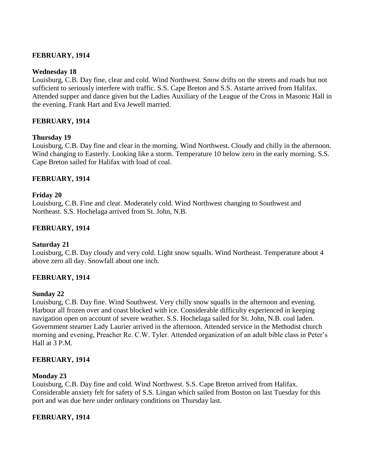### **FEBRUARY, 1914**

#### **Wednesday 18**

Louisburg, C.B. Day fine, clear and cold. Wind Northwest. Snow drifts on the streets and roads but not sufficient to seriously interfere with traffic. S.S. Cape Breton and S.S. Astarte arrived from Halifax. Attended supper and dance given but the Ladies Auxiliary of the League of the Cross in Masonic Hall in the evening. Frank Hart and Eva Jewell married.

### **FEBRUARY, 1914**

#### **Thursday 19**

Louisburg, C.B. Day fine and clear in the morning. Wind Northwest. Cloudy and chilly in the afternoon. Wind changing to Easterly. Looking like a storm. Temperature 10 below zero in the early morning. S.S. Cape Breton sailed for Halifax with load of coal.

### **FEBRUARY, 1914**

### **Friday 20**

Louisburg, C.B. Fine and clear. Moderately cold. Wind Northwest changing to Southwest and Northeast. S.S. Hochelaga arrived from St. John, N.B.

### **FEBRUARY, 1914**

### **Saturday 21**

Louisburg, C.B. Day cloudy and very cold. Light snow squalls. Wind Northeast. Temperature about 4 above zero all day. Snowfall about one inch.

### **FEBRUARY, 1914**

#### **Sunday 22**

Louisburg, C.B. Day fine. Wind Southwest. Very chilly snow squalls in the afternoon and evening. Harbour all frozen over and coast blocked with ice. Considerable difficulty experienced in keeping navigation open on account of severe weather. S.S. Hochelaga sailed for St. John, N.B. coal laden. Government steamer Lady Laurier arrived in the afternoon. Attended service in the Methodist church morning and evening, Preacher Re. C.W. Tyler. Attended organization of an adult bible class in Peter"s Hall at 3 P.M.

#### **FEBRUARY, 1914**

#### **Monday 23**

Louisburg, C.B. Day fine and cold. Wind Northwest. S.S. Cape Breton arrived from Halifax. Considerable anxiety felt for safety of S.S. Lingan which sailed from Boston on last Tuesday for this port and was due here under ordinary conditions on Thursday last.

### **FEBRUARY, 1914**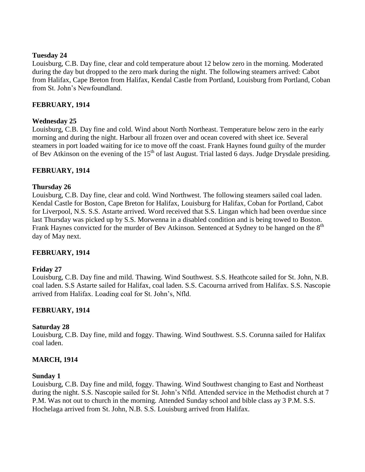### **Tuesday 24**

Louisburg, C.B. Day fine, clear and cold temperature about 12 below zero in the morning. Moderated during the day but dropped to the zero mark during the night. The following steamers arrived: Cabot from Halifax, Cape Breton from Halifax, Kendal Castle from Portland, Louisburg from Portland, Coban from St. John"s Newfoundland.

# **FEBRUARY, 1914**

# **Wednesday 25**

Louisburg, C.B. Day fine and cold. Wind about North Northeast. Temperature below zero in the early morning and during the night. Harbour all frozen over and ocean covered with sheet ice. Several steamers in port loaded waiting for ice to move off the coast. Frank Haynes found guilty of the murder of Bev Atkinson on the evening of the  $15<sup>th</sup>$  of last August. Trial lasted 6 days. Judge Drysdale presiding.

# **FEBRUARY, 1914**

### **Thursday 26**

Louisburg, C.B. Day fine, clear and cold. Wind Northwest. The following steamers sailed coal laden. Kendal Castle for Boston, Cape Breton for Halifax, Louisburg for Halifax, Coban for Portland, Cabot for Liverpool, N.S. S.S. Astarte arrived. Word received that S.S. Lingan which had been overdue since last Thursday was picked up by S.S. Morwenna in a disabled condition and is being towed to Boston. Frank Haynes convicted for the murder of Bev Atkinson. Sentenced at Sydney to be hanged on the 8<sup>th</sup> day of May next.

# **FEBRUARY, 1914**

### **Friday 27**

Louisburg, C.B. Day fine and mild. Thawing. Wind Southwest. S.S. Heathcote sailed for St. John, N.B. coal laden. S.S Astarte sailed for Halifax, coal laden. S.S. Cacourna arrived from Halifax. S.S. Nascopie arrived from Halifax. Loading coal for St. John"s, Nfld.

# **FEBRUARY, 1914**

### **Saturday 28**

Louisburg, C.B. Day fine, mild and foggy. Thawing. Wind Southwest. S.S. Corunna sailed for Halifax coal laden.

### **MARCH, 1914**

### **Sunday 1**

Louisburg, C.B. Day fine and mild, foggy. Thawing. Wind Southwest changing to East and Northeast during the night. S.S. Nascopie sailed for St. John"s Nfld. Attended service in the Methodist church at 7 P.M. Was not out to church in the morning. Attended Sunday school and bible class ay 3 P.M. S.S. Hochelaga arrived from St. John, N.B. S.S. Louisburg arrived from Halifax.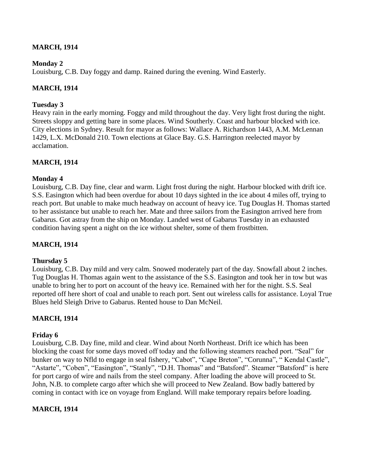# **MARCH, 1914**

### **Monday 2**

Louisburg, C.B. Day foggy and damp. Rained during the evening. Wind Easterly.

# **MARCH, 1914**

### **Tuesday 3**

Heavy rain in the early morning. Foggy and mild throughout the day. Very light frost during the night. Streets sloppy and getting bare in some places. Wind Southerly. Coast and harbour blocked with ice. City elections in Sydney. Result for mayor as follows: Wallace A. Richardson 1443, A.M. McLennan 1429, L.X. McDonald 210. Town elections at Glace Bay. G.S. Harrington reelected mayor by acclamation.

### **MARCH, 1914**

### **Monday 4**

Louisburg, C.B. Day fine, clear and warm. Light frost during the night. Harbour blocked with drift ice. S.S. Easington which had been overdue for about 10 days sighted in the ice about 4 miles off, trying to reach port. But unable to make much headway on account of heavy ice. Tug Douglas H. Thomas started to her assistance but unable to reach her. Mate and three sailors from the Easington arrived here from Gabarus. Got astray from the ship on Monday. Landed west of Gabarus Tuesday in an exhausted condition having spent a night on the ice without shelter, some of them frostbitten.

# **MARCH, 1914**

### **Thursday 5**

Louisburg, C.B. Day mild and very calm. Snowed moderately part of the day. Snowfall about 2 inches. Tug Douglas H. Thomas again went to the assistance of the S.S. Easington and took her in tow but was unable to bring her to port on account of the heavy ice. Remained with her for the night. S.S. Seal reported off here short of coal and unable to reach port. Sent out wireless calls for assistance. Loyal True Blues held Sleigh Drive to Gabarus. Rented house to Dan McNeil.

# **MARCH, 1914**

### **Friday 6**

Louisburg, C.B. Day fine, mild and clear. Wind about North Northeast. Drift ice which has been blocking the coast for some days moved off today and the following steamers reached port. "Seal" for bunker on way to Nfld to engage in seal fishery, "Cabot", "Cape Breton", "Corunna", "Kendal Castle", "Astarte", "Coben", "Easington", "Stanly", "D.H. Thomas" and "Batsford". Steamer "Batsford" is here for port cargo of wire and nails from the steel company. After loading the above will proceed to St. John, N.B. to complete cargo after which she will proceed to New Zealand. Bow badly battered by coming in contact with ice on voyage from England. Will make temporary repairs before loading.

# **MARCH, 1914**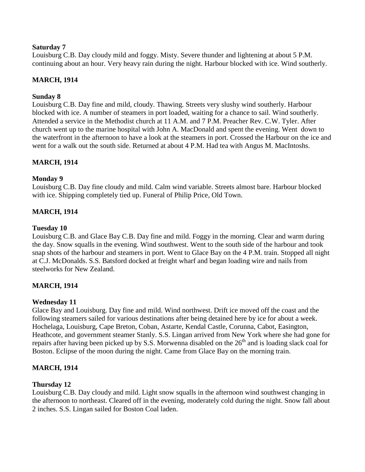### **Saturday 7**

Louisburg C.B. Day cloudy mild and foggy. Misty. Severe thunder and lightening at about 5 P.M. continuing about an hour. Very heavy rain during the night. Harbour blocked with ice. Wind southerly.

## **MARCH, 1914**

### **Sunday 8**

Louisburg C.B. Day fine and mild, cloudy. Thawing. Streets very slushy wind southerly. Harbour blocked with ice. A number of steamers in port loaded, waiting for a chance to sail. Wind southerly. Attended a service in the Methodist church at 11 A.M. and 7 P.M. Preacher Rev. C.W. Tyler. After church went up to the marine hospital with John A. MacDonald and spent the evening. Went down to the waterfront in the afternoon to have a look at the steamers in port. Crossed the Harbour on the ice and went for a walk out the south side. Returned at about 4 P.M. Had tea with Angus M. MacIntoshs.

### **MARCH, 1914**

### **Monday 9**

Louisburg C.B. Day fine cloudy and mild. Calm wind variable. Streets almost bare. Harbour blocked with ice. Shipping completely tied up. Funeral of Philip Price, Old Town.

### **MARCH, 1914**

### **Tuesday 10**

Louisburg C.B. and Glace Bay C.B. Day fine and mild. Foggy in the morning. Clear and warm during the day. Snow squalls in the evening. Wind southwest. Went to the south side of the harbour and took snap shots of the harbour and steamers in port. Went to Glace Bay on the 4 P.M. train. Stopped all night at C.J. McDonalds. S.S. Batsford docked at freight wharf and began loading wire and nails from steelworks for New Zealand.

### **MARCH, 1914**

### **Wednesday 11**

Glace Bay and Louisburg. Day fine and mild. Wind northwest. Drift ice moved off the coast and the following steamers sailed for various destinations after being detained here by ice for about a week. Hochelaga, Louisburg, Cape Breton, Coban, Astarte, Kendal Castle, Corunna, Cabot, Easington, Heathcote, and government steamer Stanly. S.S. Lingan arrived from New York where she had gone for repairs after having been picked up by S.S. Morwenna disabled on the  $26<sup>th</sup>$  and is loading slack coal for Boston. Eclipse of the moon during the night. Came from Glace Bay on the morning train.

### **MARCH, 1914**

### **Thursday 12**

Louisburg C.B. Day cloudy and mild. Light snow squalls in the afternoon wind southwest changing in the afternoon to northeast. Cleared off in the evening, moderately cold during the night. Snow fall about 2 inches. S.S. Lingan sailed for Boston Coal laden.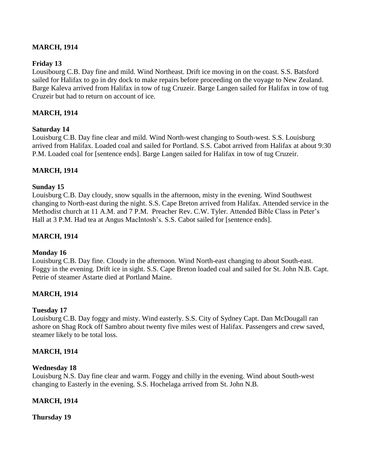# **MARCH, 1914**

## **Friday 13**

Lousibourg C.B. Day fine and mild. Wind Northeast. Drift ice moving in on the coast. S.S. Batsford sailed for Halifax to go in dry dock to make repairs before proceeding on the voyage to New Zealand. Barge Kaleva arrived from Halifax in tow of tug Cruzeir. Barge Langen sailed for Halifax in tow of tug Cruzeir but had to return on account of ice.

### **MARCH, 1914**

### **Saturday 14**

Louisburg C.B. Day fine clear and mild. Wind North-west changing to South-west. S.S. Louisburg arrived from Halifax. Loaded coal and sailed for Portland. S.S. Cabot arrived from Halifax at about 9:30 P.M. Loaded coal for [sentence ends]. Barge Langen sailed for Halifax in tow of tug Cruzeir.

### **MARCH, 1914**

#### **Sunday 15**

Louisburg C.B. Day cloudy, snow squalls in the afternoon, misty in the evening. Wind Southwest changing to North-east during the night. S.S. Cape Breton arrived from Halifax. Attended service in the Methodist church at 11 A.M. and 7 P.M. Preacher Rev. C.W. Tyler. Attended Bible Class in Peter"s Hall at 3 P.M. Had tea at Angus MacIntosh's. S.S. Cabot sailed for [sentence ends].

### **MARCH, 1914**

#### **Monday 16**

Louisburg C.B. Day fine. Cloudy in the afternoon. Wind North-east changing to about South-east. Foggy in the evening. Drift ice in sight. S.S. Cape Breton loaded coal and sailed for St. John N.B. Capt. Petrie of steamer Astarte died at Portland Maine.

### **MARCH, 1914**

#### **Tuesday 17**

Louisburg C.B. Day foggy and misty. Wind easterly. S.S. City of Sydney Capt. Dan McDougall ran ashore on Shag Rock off Sambro about twenty five miles west of Halifax. Passengers and crew saved, steamer likely to be total loss.

#### **MARCH, 1914**

#### **Wednesday 18**

Louisburg N.S. Day fine clear and warm. Foggy and chilly in the evening. Wind about South-west changing to Easterly in the evening. S.S. Hochelaga arrived from St. John N.B.

### **MARCH, 1914**

**Thursday 19**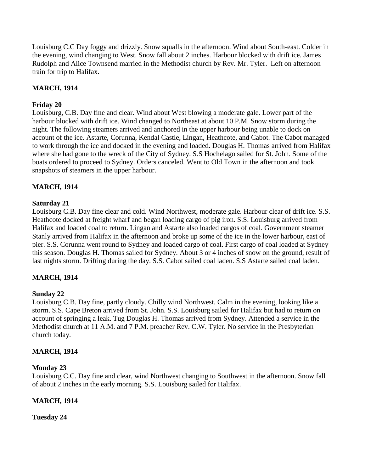Louisburg C.C Day foggy and drizzly. Snow squalls in the afternoon. Wind about South-east. Colder in the evening, wind changing to West. Snow fall about 2 inches. Harbour blocked with drift ice. James Rudolph and Alice Townsend married in the Methodist church by Rev. Mr. Tyler. Left on afternoon train for trip to Halifax.

# **MARCH, 1914**

## **Friday 20**

Louisburg, C.B. Day fine and clear. Wind about West blowing a moderate gale. Lower part of the harbour blocked with drift ice. Wind changed to Northeast at about 10 P.M. Snow storm during the night. The following steamers arrived and anchored in the upper harbour being unable to dock on account of the ice. Astarte, Corunna, Kendal Castle, Lingan, Heathcote, and Cabot. The Cabot managed to work through the ice and docked in the evening and loaded. Douglas H. Thomas arrived from Halifax where she had gone to the wreck of the City of Sydney. S.S Hochelago sailed for St. John. Some of the boats ordered to proceed to Sydney. Orders canceled. Went to Old Town in the afternoon and took snapshots of steamers in the upper harbour.

# **MARCH, 1914**

### **Saturday 21**

Louisburg C.B. Day fine clear and cold. Wind Northwest, moderate gale. Harbour clear of drift ice. S.S. Heathcote docked at freight wharf and began loading cargo of pig iron. S.S. Louisburg arrived from Halifax and loaded coal to return. Lingan and Astarte also loaded cargos of coal. Government steamer Stanly arrived from Halifax in the afternoon and broke up some of the ice in the lower harbour, east of pier. S.S. Corunna went round to Sydney and loaded cargo of coal. First cargo of coal loaded at Sydney this season. Douglas H. Thomas sailed for Sydney. About 3 or 4 inches of snow on the ground, result of last nights storm. Drifting during the day. S.S. Cabot sailed coal laden. S.S Astarte sailed coal laden.

# **MARCH, 1914**

# **Sunday 22**

Louisburg C.B. Day fine, partly cloudy. Chilly wind Northwest. Calm in the evening, looking like a storm. S.S. Cape Breton arrived from St. John. S.S. Louisburg sailed for Halifax but had to return on account of springing a leak. Tug Douglas H. Thomas arrived from Sydney. Attended a service in the Methodist church at 11 A.M. and 7 P.M. preacher Rev. C.W. Tyler. No service in the Presbyterian church today.

### **MARCH, 1914**

### **Monday 23**

Louisburg C.C. Day fine and clear, wind Northwest changing to Southwest in the afternoon. Snow fall of about 2 inches in the early morning. S.S. Louisburg sailed for Halifax.

# **MARCH, 1914**

**Tuesday 24**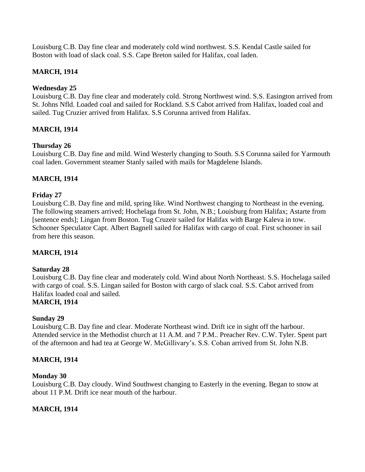Louisburg C.B. Day fine clear and moderately cold wind northwest. S.S. Kendal Castle sailed for Boston with load of slack coal. S.S. Cape Breton sailed for Halifax, coal laden.

# **MARCH, 1914**

# **Wednesday 25**

Louisburg C.B. Day fine clear and moderately cold. Strong Northwest wind. S.S. Easington arrived from St. Johns Nfld. Loaded coal and sailed for Rockland. S.S Cabot arrived from Halifax, loaded coal and sailed. Tug Cruzier arrived from Halifax. S.S Corunna arrived from Halifax.

# **MARCH, 1914**

# **Thursday 26**

Louisburg C.B. Day fine and mild. Wind Westerly changing to South. S.S Corunna sailed for Yarmouth coal laden. Government steamer Stanly sailed with mails for Magdelene Islands.

# **MARCH, 1914**

# **Friday 27**

Louisburg C.B. Day fine and mild, spring like. Wind Northwest changing to Northeast in the evening. The following steamers arrived; Hochelaga from St. John, N.B.; Louisburg from Halifax; Astarte from [sentence ends]; Lingan from Boston. Tug Cruzeir sailed for Halifax with Barge Kaleva in tow. Schooner Speculator Capt. Albert Bagnell sailed for Halifax with cargo of coal. First schooner in sail from here this season.

# **MARCH, 1914**

# **Saturday 28**

Louisburg C.B. Day fine clear and moderately cold. Wind about North Northeast. S.S. Hochelaga sailed with cargo of coal. S.S. Lingan sailed for Boston with cargo of slack coal. S.S. Cabot arrived from Halifax loaded coal and sailed.

# **MARCH, 1914**

# **Sunday 29**

Louisburg C.B. Day fine and clear. Moderate Northeast wind. Drift ice in sight off the harbour. Attended service in the Methodist church at 11 A.M. and 7 P.M.. Preacher Rev. C.W. Tyler. Spent part of the afternoon and had tea at George W. McGillivary"s. S.S. Coban arrived from St. John N.B.

# **MARCH, 1914**

# **Monday 30**

Louisburg C.B. Day cloudy. Wind Southwest changing to Easterly in the evening. Began to snow at about 11 P.M. Drift ice near mouth of the harbour.

# **MARCH, 1914**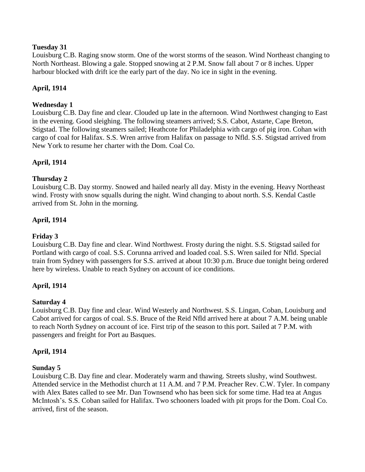### **Tuesday 31**

Louisburg C.B. Raging snow storm. One of the worst storms of the season. Wind Northeast changing to North Northeast. Blowing a gale. Stopped snowing at 2 P.M. Snow fall about 7 or 8 inches. Upper harbour blocked with drift ice the early part of the day. No ice in sight in the evening.

# **April, 1914**

## **Wednesday 1**

Louisburg C.B. Day fine and clear. Clouded up late in the afternoon. Wind Northwest changing to East in the evening. Good sleighing. The following steamers arrived; S.S. Cabot, Astarte, Cape Breton, Stigstad. The following steamers sailed; Heathcote for Philadelphia with cargo of pig iron. Cohan with cargo of coal for Halifax. S.S. Wren arrive from Halifax on passage to Nfld. S.S. Stigstad arrived from New York to resume her charter with the Dom. Coal Co.

# **April, 1914**

# **Thursday 2**

Louisburg C.B. Day stormy. Snowed and hailed nearly all day. Misty in the evening. Heavy Northeast wind. Frosty with snow squalls during the night. Wind changing to about north. S.S. Kendal Castle arrived from St. John in the morning.

# **April, 1914**

## **Friday 3**

Louisburg C.B. Day fine and clear. Wind Northwest. Frosty during the night. S.S. Stigstad sailed for Portland with cargo of coal. S.S. Corunna arrived and loaded coal. S.S. Wren sailed for Nfld. Special train from Sydney with passengers for S.S. arrived at about 10:30 p.m. Bruce due tonight being ordered here by wireless. Unable to reach Sydney on account of ice conditions.

# **April, 1914**

### **Saturday 4**

Louisburg C.B. Day fine and clear. Wind Westerly and Northwest. S.S. Lingan, Coban, Louisburg and Cabot arrived for cargos of coal. S.S. Bruce of the Reid Nfld arrived here at about 7 A.M. being unable to reach North Sydney on account of ice. First trip of the season to this port. Sailed at 7 P.M. with passengers and freight for Port au Basques.

### **April, 1914**

### **Sunday 5**

Louisburg C.B. Day fine and clear. Moderately warm and thawing. Streets slushy, wind Southwest. Attended service in the Methodist church at 11 A.M. and 7 P.M. Preacher Rev. C.W. Tyler. In company with Alex Bates called to see Mr. Dan Townsend who has been sick for some time. Had tea at Angus McIntosh"s. S.S. Coban sailed for Halifax. Two schooners loaded with pit props for the Dom. Coal Co. arrived, first of the season.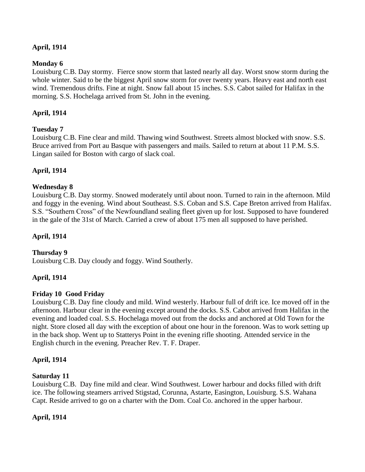# **April, 1914**

## **Monday 6**

Louisburg C.B. Day stormy. Fierce snow storm that lasted nearly all day. Worst snow storm during the whole winter. Said to be the biggest April snow storm for over twenty years. Heavy east and north east wind. Tremendous drifts. Fine at night. Snow fall about 15 inches. S.S. Cabot sailed for Halifax in the morning. S.S. Hochelaga arrived from St. John in the evening.

## **April, 1914**

### **Tuesday 7**

Louisburg C.B. Fine clear and mild. Thawing wind Southwest. Streets almost blocked with snow. S.S. Bruce arrived from Port au Basque with passengers and mails. Sailed to return at about 11 P.M. S.S. Lingan sailed for Boston with cargo of slack coal.

### **April, 1914**

### **Wednesday 8**

Louisburg C.B. Day stormy. Snowed moderately until about noon. Turned to rain in the afternoon. Mild and foggy in the evening. Wind about Southeast. S.S. Coban and S.S. Cape Breton arrived from Halifax. S.S. "Southern Cross" of the Newfoundland sealing fleet given up for lost. Supposed to have foundered in the gale of the 31st of March. Carried a crew of about 175 men all supposed to have perished.

### **April, 1914**

### **Thursday 9**

Louisburg C.B. Day cloudy and foggy. Wind Southerly.

### **April, 1914**

### **Friday 10 Good Friday**

Louisburg C.B. Day fine cloudy and mild. Wind westerly. Harbour full of drift ice. Ice moved off in the afternoon. Harbour clear in the evening except around the docks. S.S. Cabot arrived from Halifax in the evening and loaded coal. S.S. Hochelaga moved out from the docks and anchored at Old Town for the night. Store closed all day with the exception of about one hour in the forenoon. Was to work setting up in the back shop. Went up to Statterys Point in the evening rifle shooting. Attended service in the English church in the evening. Preacher Rev. T. F. Draper.

### **April, 1914**

### **Saturday 11**

Louisburg C.B. Day fine mild and clear. Wind Southwest. Lower harbour and docks filled with drift ice. The following steamers arrived Stigstad, Corunna, Astarte, Easington, Louisburg. S.S. Wahana Capt. Reside arrived to go on a charter with the Dom. Coal Co. anchored in the upper harbour.

### **April, 1914**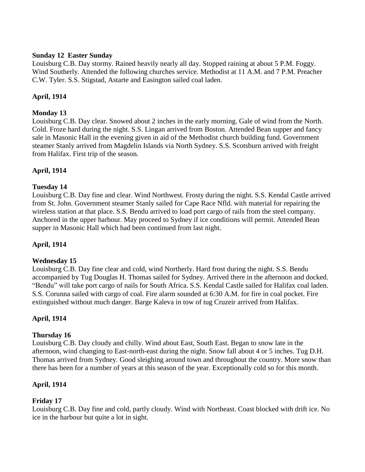### **Sunday 12 Easter Sunday**

Louisburg C.B. Day stormy. Rained heavily nearly all day. Stopped raining at about 5 P.M. Foggy. Wind Southerly. Attended the following churches service. Methodist at 11 A.M. and 7 P.M. Preacher C.W. Tyler. S.S. Stigstad, Astarte and Easington sailed coal laden.

# **April, 1914**

# **Monday 13**

Louisburg C.B. Day clear. Snowed about 2 inches in the early morning. Gale of wind from the North. Cold. Froze hard during the night. S.S. Lingan arrived from Boston. Attended Bean supper and fancy sale in Masonic Hall in the evening given in aid of the Methodist church building fund. Government steamer Stanly arrived from Magdelin Islands via North Sydney. S.S. Scotsburn arrived with freight from Halifax. First trip of the season.

# **April, 1914**

# **Tuesday 14**

Louisburg C.B. Day fine and clear. Wind Northwest. Frosty during the night. S.S. Kendal Castle arrived from St. John. Government steamer Stanly sailed for Cape Race Nfld. with material for repairing the wireless station at that place. S.S. Bendu arrived to load port cargo of rails from the steel company. Anchored in the upper harbour. May proceed to Sydney if ice conditions will permit. Attended Bean supper in Masonic Hall which had been continued from last night.

# **April, 1914**

### **Wednesday 15**

Louisburg C.B. Day fine clear and cold, wind Northerly. Hard frost during the night. S.S. Bendu accompanied by Tug Douglas H. Thomas sailed for Sydney. Arrived there in the afternoon and docked. "Bendu" will take port cargo of nails for South Africa. S.S. Kendal Castle sailed for Halifax coal laden. S.S. Corunna sailed with cargo of coal. Fire alarm sounded at 6:30 A.M. for fire in coal pocket. Fire extinguished without much danger. Barge Kaleva in tow of tug Cruzeir arrived from Halifax.

# **April, 1914**

### **Thursday 16**

Louisburg C.B. Day cloudy and chilly. Wind about East, South East. Began to snow late in the afternoon, wind changing to East-north-east during the night. Snow fall about 4 or 5 inches. Tug D.H. Thomas arrived from Sydney. Good sleighing around town and throughout the country. More snow than there has been for a number of years at this season of the year. Exceptionally cold so for this month.

# **April, 1914**

# **Friday 17**

Louisburg C.B. Day fine and cold, partly cloudy. Wind with Northeast. Coast blocked with drift ice. No ice in the harbour but quite a lot in sight.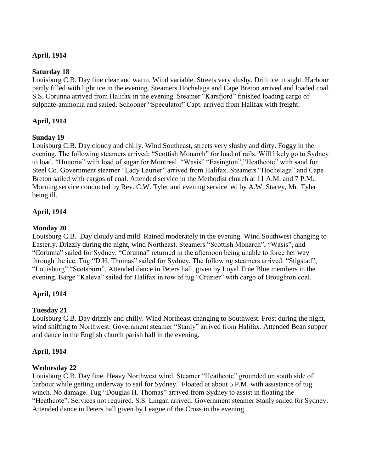## **April, 1914**

### **Saturday 18**

Louisburg C.B. Day fine clear and warm. Wind variable. Streets very slushy. Drift ice in sight. Harbour partly filled with light ice in the evening. Steamers Hochelaga and Cape Breton arrived and loaded coal. S.S. Corunna arrived from Halifax in the evening. Steamer "Karsfjord" finished loading cargo of sulphate-ammonia and sailed. Schooner "Speculator" Capt. arrived from Halifax with freight.

## **April, 1914**

### **Sunday 19**

Louisburg C.B. Day cloudy and chilly. Wind Southeast, streets very slushy and dirty. Foggy in the evening. The following steamers arrived: "Scottish Monarch" for load of rails. Will likely go to Sydney to load. "Honoria" with load of sugar for Montreal. "Wasis" "Easington","Heathcote" with sand for Steel Co. Government steamer "Lady Laurier" arrived from Halifax. Steamers "Hochelaga" and Cape Breton sailed with cargos of coal. Attended service in the Methodist church at 11 A.M. and 7 P.M.. Morning service conducted by Rev. C.W. Tyler and evening service led by A.W. Stacey, Mr. Tyler being ill.

### **April, 1914**

### **Monday 20**

Louisburg C.B. Day cloudy and mild. Rained moderately in the evening. Wind Southwest changing to Easterly. Drizzly during the night, wind Northeast. Steamers "Scottish Monarch", "Wasis", and "Corunna" sailed for Sydney. "Corunna" returned in the afternoon being unable to force her way through the ice. Tug "D.H. Thomas" sailed for Sydney. The following steamers arrived: "Stigstad", "Louisburg" "Scotsburn". Attended dance in Peters hall, given by Loyal True Blue members in the evening. Barge "Kaleva" sailed for Halifax in tow of tug "Cruzier" with cargo of Broughton coal.

### **April, 1914**

# **Tuesday 21**

Louisburg C.B. Day drizzly and chilly. Wind Northeast changing to Southwest. Frost during the night, wind shifting to Northwest. Government steamer "Stanly" arrived from Halifax. Attended Bean supper and dance in the English church parish hall in the evening.

### **April, 1914**

### **Wednesday 22**

Louisburg C.B. Day fine. Heavy Northwest wind. Steamer "Heathcote" grounded on south side of harbour while getting underway to sail for Sydney. Floated at about 5 P.M. with assistance of tug winch. No damage. Tug "Douglas H. Thomas" arrived from Sydney to assist in floating the "Heathcote". Services not required. S.S. Lingan arrived. Government steamer Stanly sailed for Sydney. Attended dance in Peters hall given by League of the Cross in the evening.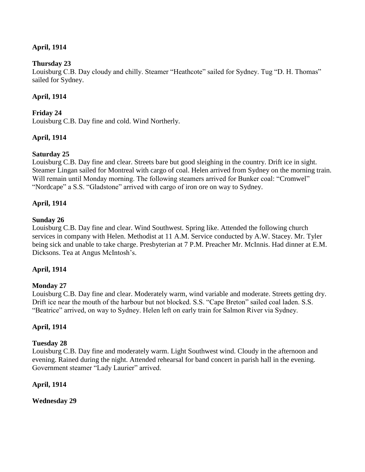# **April, 1914**

### **Thursday 23**

Louisburg C.B. Day cloudy and chilly. Steamer "Heathcote" sailed for Sydney. Tug "D. H. Thomas" sailed for Sydney.

## **April, 1914**

### **Friday 24**

Louisburg C.B. Day fine and cold. Wind Northerly.

# **April, 1914**

# **Saturday 25**

Louisburg C.B. Day fine and clear. Streets bare but good sleighing in the country. Drift ice in sight. Steamer Lingan sailed for Montreal with cargo of coal. Helen arrived from Sydney on the morning train. Will remain until Monday morning. The following steamers arrived for Bunker coal: "Cromwel" "Nordcape" a S.S. "Gladstone" arrived with cargo of iron ore on way to Sydney.

### **April, 1914**

### **Sunday 26**

Louisburg C.B. Day fine and clear. Wind Southwest. Spring like. Attended the following church services in company with Helen. Methodist at 11 A.M. Service conducted by A.W. Stacey. Mr. Tyler being sick and unable to take charge. Presbyterian at 7 P.M. Preacher Mr. McInnis. Had dinner at E.M. Dicksons. Tea at Angus McIntosh"s.

### **April, 1914**

### **Monday 27**

Louisburg C.B. Day fine and clear. Moderately warm, wind variable and moderate. Streets getting dry. Drift ice near the mouth of the harbour but not blocked. S.S. "Cape Breton" sailed coal laden. S.S. "Beatrice" arrived, on way to Sydney. Helen left on early train for Salmon River via Sydney.

### **April, 1914**

### **Tuesday 28**

Louisburg C.B. Day fine and moderately warm. Light Southwest wind. Cloudy in the afternoon and evening. Rained during the night. Attended rehearsal for band concert in parish hall in the evening. Government steamer "Lady Laurier" arrived.

### **April, 1914**

**Wednesday 29**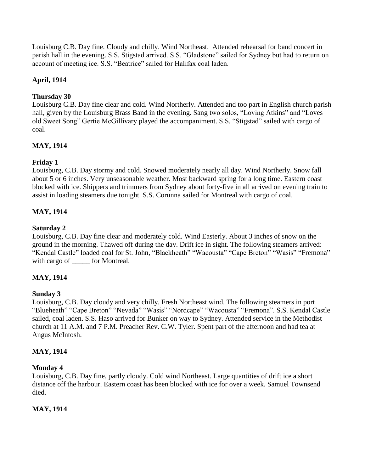Louisburg C.B. Day fine. Cloudy and chilly. Wind Northeast. Attended rehearsal for band concert in parish hall in the evening. S.S. Stigstad arrived. S.S. "Gladstone" sailed for Sydney but had to return on account of meeting ice. S.S. "Beatrice" sailed for Halifax coal laden.

# **April, 1914**

# **Thursday 30**

Louisburg C.B. Day fine clear and cold. Wind Northerly. Attended and too part in English church parish hall, given by the Louisburg Brass Band in the evening. Sang two solos, "Loving Atkins" and "Loves old Sweet Song" Gertie McGillivary played the accompaniment. S.S. "Stigstad" sailed with cargo of coal.

# **MAY, 1914**

# **Friday 1**

Louisburg, C.B. Day stormy and cold. Snowed moderately nearly all day. Wind Northerly. Snow fall about 5 or 6 inches. Very unseasonable weather. Most backward spring for a long time. Eastern coast blocked with ice. Shippers and trimmers from Sydney about forty-five in all arrived on evening train to assist in loading steamers due tonight. S.S. Corunna sailed for Montreal with cargo of coal.

# **MAY, 1914**

# **Saturday 2**

Louisburg, C.B. Day fine clear and moderately cold. Wind Easterly. About 3 inches of snow on the ground in the morning. Thawed off during the day. Drift ice in sight. The following steamers arrived: "Kendal Castle" loaded coal for St. John, "Blackheath" "Wacousta" "Cape Breton" "Wasis" "Fremona" with cargo of \_\_\_\_\_\_ for Montreal.

# **MAY, 1914**

# **Sunday 3**

Louisburg, C.B. Day cloudy and very chilly. Fresh Northeast wind. The following steamers in port "Blueheath" "Cape Breton" "Nevada" "Wasis" "Nordcape" "Wacousta" "Fremona". S.S. Kendal Castle sailed, coal laden. S.S. Haso arrived for Bunker on way to Sydney. Attended service in the Methodist church at 11 A.M. and 7 P.M. Preacher Rev. C.W. Tyler. Spent part of the afternoon and had tea at Angus McIntosh.

# **MAY, 1914**

# **Monday 4**

Louisburg, C.B. Day fine, partly cloudy. Cold wind Northeast. Large quantities of drift ice a short distance off the harbour. Eastern coast has been blocked with ice for over a week. Samuel Townsend died.

# **MAY, 1914**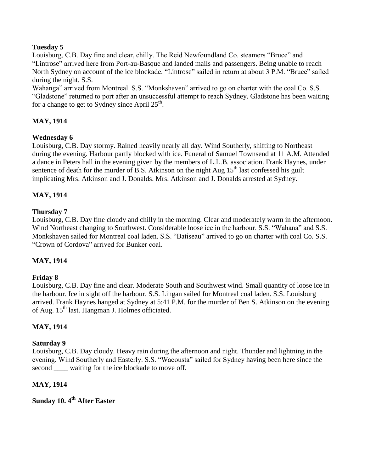## **Tuesday 5**

Louisburg, C.B. Day fine and clear, chilly. The Reid Newfoundland Co. steamers "Bruce" and "Lintrose" arrived here from Port-au-Basque and landed mails and passengers. Being unable to reach North Sydney on account of the ice blockade. "Lintrose" sailed in return at about 3 P.M. "Bruce" sailed during the night. S.S.

Wahanga" arrived from Montreal. S.S. "Monkshaven" arrived to go on charter with the coal Co. S.S. "Gladstone" returned to port after an unsuccessful attempt to reach Sydney. Gladstone has been waiting for a change to get to Sydney since April  $25<sup>th</sup>$ .

# **MAY, 1914**

### **Wednesday 6**

Louisburg, C.B. Day stormy. Rained heavily nearly all day. Wind Southerly, shifting to Northeast during the evening. Harbour partly blocked with ice. Funeral of Samuel Townsend at 11 A.M. Attended a dance in Peters hall in the evening given by the members of L.L.B. association. Frank Haynes, under sentence of death for the murder of B.S. Atkinson on the night Aug  $15<sup>th</sup>$  last confessed his guilt implicating Mrs. Atkinson and J. Donalds. Mrs. Atkinson and J. Donalds arrested at Sydney.

# **MAY, 1914**

# **Thursday 7**

Louisburg, C.B. Day fine cloudy and chilly in the morning. Clear and moderately warm in the afternoon. Wind Northeast changing to Southwest. Considerable loose ice in the harbour. S.S. "Wahana" and S.S. Monkshaven sailed for Montreal coal laden. S.S. "Batiseau" arrived to go on charter with coal Co. S.S. "Crown of Cordova" arrived for Bunker coal.

# **MAY, 1914**

### **Friday 8**

Louisburg, C.B. Day fine and clear. Moderate South and Southwest wind. Small quantity of loose ice in the harbour. Ice in sight off the harbour. S.S. Lingan sailed for Montreal coal laden. S.S. Louisburg arrived. Frank Haynes hanged at Sydney at 5:41 P.M. for the murder of Ben S. Atkinson on the evening of Aug. 15<sup>th</sup> last. Hangman J. Holmes officiated.

# **MAY, 1914**

### **Saturday 9**

Louisburg, C.B. Day cloudy. Heavy rain during the afternoon and night. Thunder and lightning in the evening. Wind Southerly and Easterly. S.S. "Wacousta" sailed for Sydney having been here since the second waiting for the ice blockade to move off.

# **MAY, 1914**

**Sunday 10. 4th After Easter**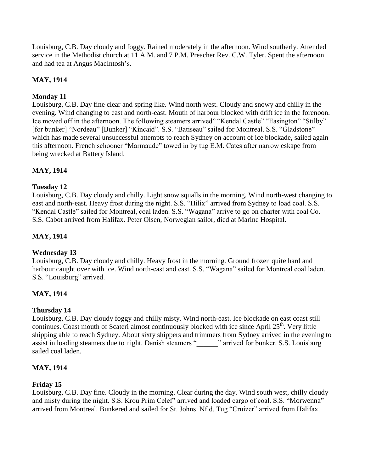Louisburg, C.B. Day cloudy and foggy. Rained moderately in the afternoon. Wind southerly. Attended service in the Methodist church at 11 A.M. and 7 P.M. Preacher Rev. C.W. Tyler. Spent the afternoon and had tea at Angus MacIntosh"s.

# **MAY, 1914**

# **Monday 11**

Louisburg, C.B. Day fine clear and spring like. Wind north west. Cloudy and snowy and chilly in the evening. Wind changing to east and north-east. Mouth of harbour blocked with drift ice in the forenoon. Ice moved off in the afternoon. The following steamers arrived" "Kendal Castle" "Easington" "Stilby" [for bunker] "Nordeau" [Bunker] "Kincaid". S.S. "Batiseau" sailed for Montreal. S.S. "Gladstone" which has made several unsuccessful attempts to reach Sydney on account of ice blockade, sailed again this afternoon. French schooner "Marmaude" towed in by tug E.M. Cates after narrow eskape from being wrecked at Battery Island.

# **MAY, 1914**

# **Tuesday 12**

Louisburg, C.B. Day cloudy and chilly. Light snow squalls in the morning. Wind north-west changing to east and north-east. Heavy frost during the night. S.S. "Hilix" arrived from Sydney to load coal. S.S. "Kendal Castle" sailed for Montreal, coal laden. S.S. "Wagana" arrive to go on charter with coal Co. S.S. Cabot arrived from Halifax. Peter Olsen, Norwegian sailor, died at Marine Hospital.

## **MAY, 1914**

### **Wednesday 13**

Louisburg, C.B. Day cloudy and chilly. Heavy frost in the morning. Ground frozen quite hard and harbour caught over with ice. Wind north-east and east. S.S. "Wagana" sailed for Montreal coal laden. S.S. "Louisburg" arrived.

# **MAY, 1914**

### **Thursday 14**

Louisburg, C.B. Day cloudy foggy and chilly misty. Wind north-east. Ice blockade on east coast still continues. Coast mouth of Scateri almost continuously blocked with ice since April  $25<sup>th</sup>$ . Very little shipping able to reach Sydney. About sixty shippers and trimmers from Sydney arrived in the evening to assist in loading steamers due to night. Danish steamers "<sup>"</sup> arrived for bunker. S.S. Louisburg sailed coal laden.

### **MAY, 1914**

### **Friday 15**

Louisburg, C.B. Day fine. Cloudy in the morning. Clear during the day. Wind south west, chilly cloudy and misty during the night. S.S. Krou Prim Celef" arrived and loaded cargo of coal. S.S. "Morwenna" arrived from Montreal. Bunkered and sailed for St. Johns Nfld. Tug "Cruizer" arrived from Halifax.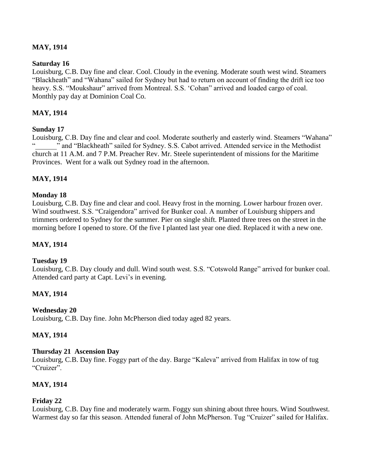# **MAY, 1914**

### **Saturday 16**

Louisburg, C.B. Day fine and clear. Cool. Cloudy in the evening. Moderate south west wind. Steamers "Blackheath" and "Wahana" sailed for Sydney but had to return on account of finding the drift ice too heavy. S.S. "Moukshaur" arrived from Montreal. S.S. "Cohan" arrived and loaded cargo of coal. Monthly pay day at Dominion Coal Co.

## **MAY, 1914**

### **Sunday 17**

Louisburg, C.B. Day fine and clear and cool. Moderate southerly and easterly wind. Steamers "Wahana" " and "Blackheath" sailed for Sydney. S.S. Cabot arrived. Attended service in the Methodist church at 11 A.M. and 7 P.M. Preacher Rev. Mr. Steele superintendent of missions for the Maritime Provinces. Went for a walk out Sydney road in the afternoon.

### **MAY, 1914**

#### **Monday 18**

Louisburg, C.B. Day fine and clear and cool. Heavy frost in the morning. Lower harbour frozen over. Wind southwest. S.S. "Craigendora" arrived for Bunker coal. A number of Louisburg shippers and trimmers ordered to Sydney for the summer. Pier on single shift. Planted three trees on the street in the morning before I opened to store. Of the five I planted last year one died. Replaced it with a new one.

### **MAY, 1914**

#### **Tuesday 19**

Louisburg, C.B. Day cloudy and dull. Wind south west. S.S. "Cotswold Range" arrived for bunker coal. Attended card party at Capt. Levi's in evening.

### **MAY, 1914**

#### **Wednesday 20**

Louisburg, C.B. Day fine. John McPherson died today aged 82 years.

### **MAY, 1914**

#### **Thursday 21 Ascension Day**

Louisburg, C.B. Day fine. Foggy part of the day. Barge "Kaleva" arrived from Halifax in tow of tug "Cruizer".

### **MAY, 1914**

#### **Friday 22**

Louisburg, C.B. Day fine and moderately warm. Foggy sun shining about three hours. Wind Southwest. Warmest day so far this season. Attended funeral of John McPherson. Tug "Cruizer" sailed for Halifax.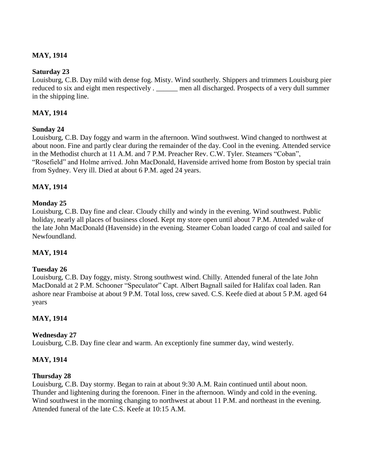# **MAY, 1914**

### **Saturday 23**

Louisburg, C.B. Day mild with dense fog. Misty. Wind southerly. Shippers and trimmers Louisburg pier reduced to six and eight men respectively . \_\_\_\_\_\_ men all discharged. Prospects of a very dull summer in the shipping line.

### **MAY, 1914**

### **Sunday 24**

Louisburg, C.B. Day foggy and warm in the afternoon. Wind southwest. Wind changed to northwest at about noon. Fine and partly clear during the remainder of the day. Cool in the evening. Attended service in the Methodist church at 11 A.M. and 7 P.M. Preacher Rev. C.W. Tyler. Steamers "Coban", "Rosefield" and Holme arrived. John MacDonald, Havenside arrived home from Boston by special train from Sydney. Very ill. Died at about 6 P.M. aged 24 years.

### **MAY, 1914**

### **Monday 25**

Louisburg, C.B. Day fine and clear. Cloudy chilly and windy in the evening. Wind southwest. Public holiday, nearly all places of business closed. Kept my store open until about 7 P.M. Attended wake of the late John MacDonald (Havenside) in the evening. Steamer Coban loaded cargo of coal and sailed for Newfoundland.

### **MAY, 1914**

### **Tuesday 26**

Louisburg, C.B. Day foggy, misty. Strong southwest wind. Chilly. Attended funeral of the late John MacDonald at 2 P.M. Schooner "Speculator" Capt. Albert Bagnall sailed for Halifax coal laden. Ran ashore near Framboise at about 9 P.M. Total loss, crew saved. C.S. Keefe died at about 5 P.M. aged 64 years

### **MAY, 1914**

#### **Wednesday 27**

Louisburg, C.B. Day fine clear and warm. An exceptionly fine summer day, wind westerly.

### **MAY, 1914**

#### **Thursday 28**

Louisburg, C.B. Day stormy. Began to rain at about 9:30 A.M. Rain continued until about noon. Thunder and lightening during the forenoon. Finer in the afternoon. Windy and cold in the evening. Wind southwest in the morning changing to northwest at about 11 P.M. and northeast in the evening. Attended funeral of the late C.S. Keefe at 10:15 A.M.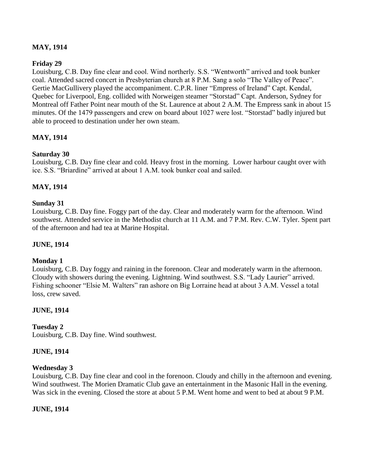# **MAY, 1914**

### **Friday 29**

Louisburg, C.B. Day fine clear and cool. Wind northerly. S.S. "Wentworth" arrived and took bunker coal. Attended sacred concert in Presbyterian church at 8 P.M. Sang a solo "The Valley of Peace". Gertie MacGullivery played the accompaniment. C.P.R. liner "Empress of Ireland" Capt. Kendal, Quebec for Liverpool, Eng. collided with Norweigen steamer "Storstad" Capt. Anderson, Sydney for Montreal off Father Point near mouth of the St. Laurence at about 2 A.M. The Empress sank in about 15 minutes. Of the 1479 passengers and crew on board about 1027 were lost. "Storstad" badly injured but able to proceed to destination under her own steam.

### **MAY, 1914**

### **Saturday 30**

Louisburg, C.B. Day fine clear and cold. Heavy frost in the morning. Lower harbour caught over with ice. S.S. "Briardine" arrived at about 1 A.M. took bunker coal and sailed.

### **MAY, 1914**

#### **Sunday 31**

Louisburg, C.B. Day fine. Foggy part of the day. Clear and moderately warm for the afternoon. Wind southwest. Attended service in the Methodist church at 11 A.M. and 7 P.M. Rev. C.W. Tyler. Spent part of the afternoon and had tea at Marine Hospital.

### **JUNE, 1914**

#### **Monday 1**

Louisburg, C.B. Day foggy and raining in the forenoon. Clear and moderately warm in the afternoon. Cloudy with showers during the evening. Lightning. Wind southwest. S.S. "Lady Laurier" arrived. Fishing schooner "Elsie M. Walters" ran ashore on Big Lorraine head at about 3 A.M. Vessel a total loss, crew saved.

### **JUNE, 1914**

### **Tuesday 2**

Louisburg, C.B. Day fine. Wind southwest.

#### **JUNE, 1914**

#### **Wednesday 3**

Louisburg, C.B. Day fine clear and cool in the forenoon. Cloudy and chilly in the afternoon and evening. Wind southwest. The Morien Dramatic Club gave an entertainment in the Masonic Hall in the evening. Was sick in the evening. Closed the store at about 5 P.M. Went home and went to bed at about 9 P.M.

### **JUNE, 1914**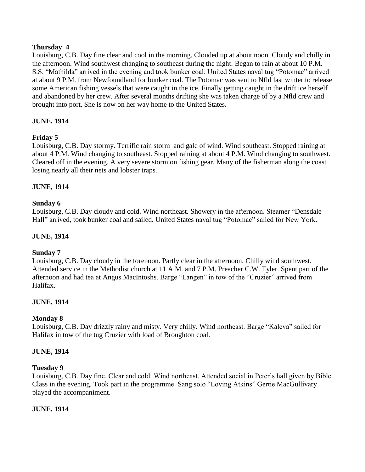### **Thursday 4**

Louisburg, C.B. Day fine clear and cool in the morning. Clouded up at about noon. Cloudy and chilly in the afternoon. Wind southwest changing to southeast during the night. Began to rain at about 10 P.M. S.S. "Mathilda" arrived in the evening and took bunker coal. United States naval tug "Potomac" arrived at about 9 P.M. from Newfoundland for bunker coal. The Potomac was sent to Nfld last winter to release some American fishing vessels that were caught in the ice. Finally getting caught in the drift ice herself and abandoned by her crew. After several months drifting she was taken charge of by a Nfld crew and brought into port. She is now on her way home to the United States.

# **JUNE, 1914**

### **Friday 5**

Louisburg, C.B. Day stormy. Terrific rain storm and gale of wind. Wind southeast. Stopped raining at about 4 P.M. Wind changing to southeast. Stopped raining at about 4 P.M. Wind changing to southwest. Cleared off in the evening. A very severe storm on fishing gear. Many of the fisherman along the coast losing nearly all their nets and lobster traps.

### **JUNE, 1914**

### **Sunday 6**

Louisburg, C.B. Day cloudy and cold. Wind northeast. Showery in the afternoon. Steamer "Densdale Hall" arrived, took bunker coal and sailed. United States naval tug "Potomac" sailed for New York.

### **JUNE, 1914**

### **Sunday 7**

Louisburg, C.B. Day cloudy in the forenoon. Partly clear in the afternoon. Chilly wind southwest. Attended service in the Methodist church at 11 A.M. and 7 P.M. Preacher C.W. Tyler. Spent part of the afternoon and had tea at Angus MacIntoshs. Barge "Langen" in tow of the "Cruzier" arrived from Halifax.

### **JUNE, 1914**

### **Monday 8**

Louisburg, C.B. Day drizzly rainy and misty. Very chilly. Wind northeast. Barge "Kaleva" sailed for Halifax in tow of the tug Cruzier with load of Broughton coal.

#### **JUNE, 1914**

#### **Tuesday 9**

Louisburg, C.B. Day fine. Clear and cold. Wind northeast. Attended social in Peter"s hall given by Bible Class in the evening. Took part in the programme. Sang solo "Loving Atkins" Gertie MacGullivary played the accompaniment.

### **JUNE, 1914**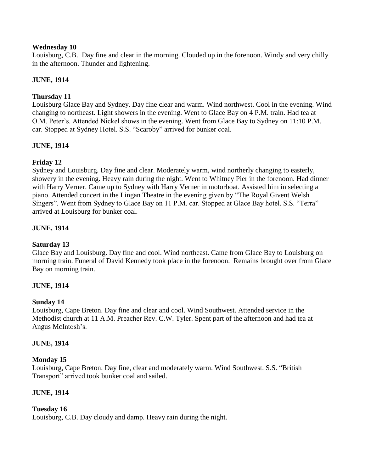### **Wednesday 10**

Louisburg, C.B. Day fine and clear in the morning. Clouded up in the forenoon. Windy and very chilly in the afternoon. Thunder and lightening.

# **JUNE, 1914**

# **Thursday 11**

Louisburg Glace Bay and Sydney. Day fine clear and warm. Wind northwest. Cool in the evening. Wind changing to northeast. Light showers in the evening. Went to Glace Bay on 4 P.M. train. Had tea at O.M. Peter's. Attended Nickel shows in the evening. Went from Glace Bay to Sydney on 11:10 P.M. car. Stopped at Sydney Hotel. S.S. "Scaroby" arrived for bunker coal.

# **JUNE, 1914**

# **Friday 12**

Sydney and Louisburg. Day fine and clear. Moderately warm, wind northerly changing to easterly, showery in the evening. Heavy rain during the night. Went to Whitney Pier in the forenoon. Had dinner with Harry Verner. Came up to Sydney with Harry Verner in motorboat. Assisted him in selecting a piano. Attended concert in the Lingan Theatre in the evening given by "The Royal Givent Welsh Singers". Went from Sydney to Glace Bay on 11 P.M. car. Stopped at Glace Bay hotel. S.S. "Terra" arrived at Louisburg for bunker coal.

# **JUNE, 1914**

# **Saturday 13**

Glace Bay and Louisburg. Day fine and cool. Wind northeast. Came from Glace Bay to Louisburg on morning train. Funeral of David Kennedy took place in the forenoon. Remains brought over from Glace Bay on morning train.

# **JUNE, 1914**

# **Sunday 14**

Louisburg, Cape Breton. Day fine and clear and cool. Wind Southwest. Attended service in the Methodist church at 11 A.M. Preacher Rev. C.W. Tyler. Spent part of the afternoon and had tea at Angus McIntosh"s.

# **JUNE, 1914**

### **Monday 15**

Louisburg, Cape Breton. Day fine, clear and moderately warm. Wind Southwest. S.S. "British Transport" arrived took bunker coal and sailed.

# **JUNE, 1914**

# **Tuesday 16**

Louisburg, C.B. Day cloudy and damp. Heavy rain during the night.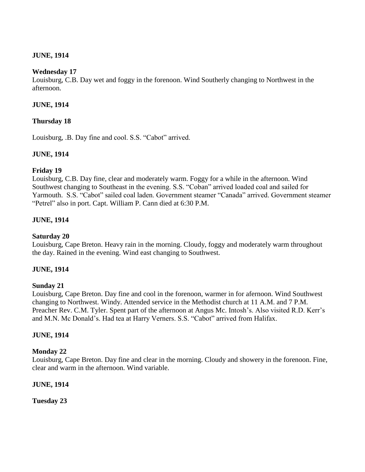### **JUNE, 1914**

### **Wednesday 17**

Louisburg, C.B. Day wet and foggy in the forenoon. Wind Southerly changing to Northwest in the afternoon.

### **JUNE, 1914**

### **Thursday 18**

Louisburg, .B. Day fine and cool. S.S. "Cabot" arrived.

### **JUNE, 1914**

### **Friday 19**

Louisburg, C.B. Day fine, clear and moderately warm. Foggy for a while in the afternoon. Wind Southwest changing to Southeast in the evening. S.S. "Coban" arrived loaded coal and sailed for Yarmouth. S.S. "Cabot" sailed coal laden. Government steamer "Canada" arrived. Government steamer "Petrel" also in port. Capt. William P. Cann died at 6:30 P.M.

### **JUNE, 1914**

### **Saturday 20**

Louisburg, Cape Breton. Heavy rain in the morning. Cloudy, foggy and moderately warm throughout the day. Rained in the evening. Wind east changing to Southwest.

### **JUNE, 1914**

### **Sunday 21**

Louisburg, Cape Breton. Day fine and cool in the forenoon, warmer in for afernoon. Wind Southwest changing to Northwest. Windy. Attended service in the Methodist church at 11 A.M. and 7 P.M. Preacher Rev. C.M. Tyler. Spent part of the afternoon at Angus Mc. Intosh's. Also visited R.D. Kerr's and M.N. Mc Donald"s. Had tea at Harry Verners. S.S. "Cabot" arrived from Halifax.

### **JUNE, 1914**

### **Monday 22**

Louisburg, Cape Breton. Day fine and clear in the morning. Cloudy and showery in the forenoon. Fine, clear and warm in the afternoon. Wind variable.

### **JUNE, 1914**

**Tuesday 23**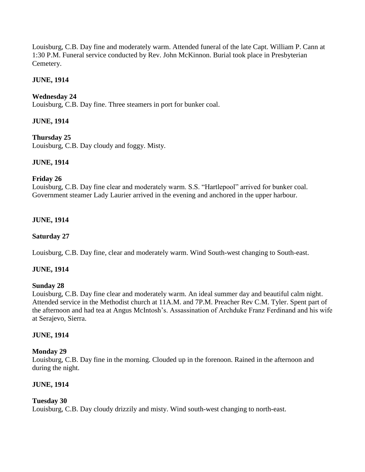Louisburg, C.B. Day fine and moderately warm. Attended funeral of the late Capt. William P. Cann at 1:30 P.M. Funeral service conducted by Rev. John McKinnon. Burial took place in Presbyterian Cemetery.

# **JUNE, 1914**

## **Wednesday 24**

Louisburg, C.B. Day fine. Three steamers in port for bunker coal.

### **JUNE, 1914**

### **Thursday 25**

Louisburg, C.B. Day cloudy and foggy. Misty.

### **JUNE, 1914**

### **Friday 26**

Louisburg, C.B. Day fine clear and moderately warm. S.S. "Hartlepool" arrived for bunker coal. Government steamer Lady Laurier arrived in the evening and anchored in the upper harbour.

### **JUNE, 1914**

### **Saturday 27**

Louisburg, C.B. Day fine, clear and moderately warm. Wind South-west changing to South-east.

### **JUNE, 1914**

#### **Sunday 28**

Louisburg, C.B. Day fine clear and moderately warm. An ideal summer day and beautiful calm night. Attended service in the Methodist church at 11A.M. and 7P.M. Preacher Rev C.M. Tyler. Spent part of the afternoon and had tea at Angus McIntosh"s. Assassination of Archduke Franz Ferdinand and his wife at Serajevo, Sierra.

### **JUNE, 1914**

### **Monday 29**

Louisburg, C.B. Day fine in the morning. Clouded up in the forenoon. Rained in the afternoon and during the night.

### **JUNE, 1914**

### **Tuesday 30**

Louisburg, C.B. Day cloudy drizzily and misty. Wind south-west changing to north-east.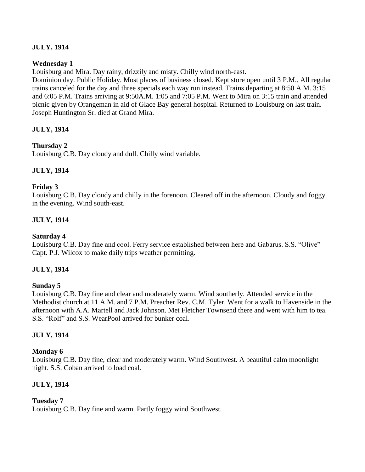# **JULY, 1914**

### **Wednesday 1**

Louisburg and Mira. Day rainy, drizzily and misty. Chilly wind north-east.

Dominion day. Public Holiday. Most places of business closed. Kept store open until 3 P.M.. All regular trains canceled for the day and three specials each way run instead. Trains departing at 8:50 A.M. 3:15 and 6:05 P.M. Trains arriving at 9:50A.M. 1:05 and 7:05 P.M. Went to Mira on 3:15 train and attended picnic given by Orangeman in aid of Glace Bay general hospital. Returned to Louisburg on last train. Joseph Huntington Sr. died at Grand Mira.

# **JULY, 1914**

### **Thursday 2**

Louisburg C.B. Day cloudy and dull. Chilly wind variable.

# **JULY, 1914**

### **Friday 3**

Louisburg C.B. Day cloudy and chilly in the forenoon. Cleared off in the afternoon. Cloudy and foggy in the evening. Wind south-east.

### **JULY, 1914**

### **Saturday 4**

Louisburg C.B. Day fine and cool. Ferry service established between here and Gabarus. S.S. "Olive" Capt. P.J. Wilcox to make daily trips weather permitting.

### **JULY, 1914**

### **Sunday 5**

Louisburg C.B. Day fine and clear and moderately warm. Wind southerly. Attended service in the Methodist church at 11 A.M. and 7 P.M. Preacher Rev. C.M. Tyler. Went for a walk to Havenside in the afternoon with A.A. Martell and Jack Johnson. Met Fletcher Townsend there and went with him to tea. S.S. "Rolf" and S.S. WearPool arrived for bunker coal.

### **JULY, 1914**

### **Monday 6**

Louisburg C.B. Day fine, clear and moderately warm. Wind Southwest. A beautiful calm moonlight night. S.S. Coban arrived to load coal.

# **JULY, 1914**

### **Tuesday 7**

Louisburg C.B. Day fine and warm. Partly foggy wind Southwest.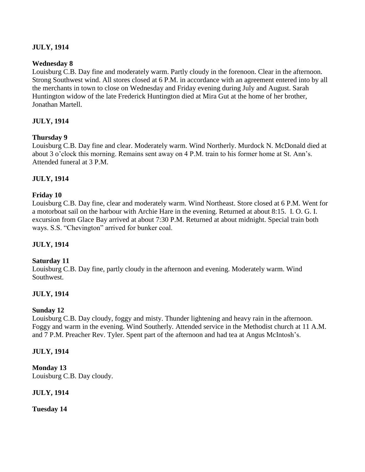## **JULY, 1914**

### **Wednesday 8**

Louisburg C.B. Day fine and moderately warm. Partly cloudy in the forenoon. Clear in the afternoon. Strong Southwest wind. All stores closed at 6 P.M. in accordance with an agreement entered into by all the merchants in town to close on Wednesday and Friday evening during July and August. Sarah Huntington widow of the late Frederick Huntington died at Mira Gut at the home of her brother, Jonathan Martell.

### **JULY, 1914**

### **Thursday 9**

Louisburg C.B. Day fine and clear. Moderately warm. Wind Northerly. Murdock N. McDonald died at about 3 o"clock this morning. Remains sent away on 4 P.M. train to his former home at St. Ann"s. Attended funeral at 3 P.M.

### **JULY, 1914**

### **Friday 10**

Louisburg C.B. Day fine, clear and moderately warm. Wind Northeast. Store closed at 6 P.M. Went for a motorboat sail on the harbour with Archie Hare in the evening. Returned at about 8:15. I. O. G. I. excursion from Glace Bay arrived at about 7:30 P.M. Returned at about midnight. Special train both ways. S.S. "Chevington" arrived for bunker coal.

### **JULY, 1914**

### **Saturday 11**

Louisburg C.B. Day fine, partly cloudy in the afternoon and evening. Moderately warm. Wind Southwest.

### **JULY, 1914**

### **Sunday 12**

Louisburg C.B. Day cloudy, foggy and misty. Thunder lightening and heavy rain in the afternoon. Foggy and warm in the evening. Wind Southerly. Attended service in the Methodist church at 11 A.M. and 7 P.M. Preacher Rev. Tyler. Spent part of the afternoon and had tea at Angus McIntosh"s.

### **JULY, 1914**

**Monday 13** Louisburg C.B. Day cloudy.

**JULY, 1914**

**Tuesday 14**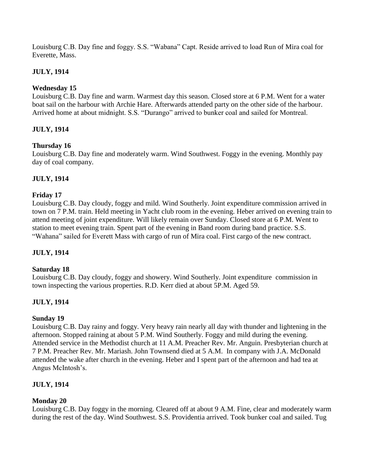Louisburg C.B. Day fine and foggy. S.S. "Wabana" Capt. Reside arrived to load Run of Mira coal for Everette, Mass.

# **JULY, 1914**

# **Wednesday 15**

Louisburg C.B. Day fine and warm. Warmest day this season. Closed store at 6 P.M. Went for a water boat sail on the harbour with Archie Hare. Afterwards attended party on the other side of the harbour. Arrived home at about midnight. S.S. "Durango" arrived to bunker coal and sailed for Montreal.

# **JULY, 1914**

# **Thursday 16**

Louisburg C.B. Day fine and moderately warm. Wind Southwest. Foggy in the evening. Monthly pay day of coal company.

# **JULY, 1914**

# **Friday 17**

Louisburg C.B. Day cloudy, foggy and mild. Wind Southerly. Joint expenditure commission arrived in town on 7 P.M. train. Held meeting in Yacht club room in the evening. Heber arrived on evening train to attend meeting of joint expenditure. Will likely remain over Sunday. Closed store at 6 P.M. Went to station to meet evening train. Spent part of the evening in Band room during band practice. S.S. "Wahana" sailed for Everett Mass with cargo of run of Mira coal. First cargo of the new contract.

# **JULY, 1914**

# **Saturday 18**

Louisburg C.B. Day cloudy, foggy and showery. Wind Southerly. Joint expenditure commission in town inspecting the various properties. R.D. Kerr died at about 5P.M. Aged 59.

# **JULY, 1914**

# **Sunday 19**

Louisburg C.B. Day rainy and foggy. Very heavy rain nearly all day with thunder and lightening in the afternoon. Stopped raining at about 5 P.M. Wind Southerly. Foggy and mild during the evening. Attended service in the Methodist church at 11 A.M. Preacher Rev. Mr. Anguin. Presbyterian church at 7 P.M. Preacher Rev. Mr. Mariash. John Townsend died at 5 A.M. In company with J.A. McDonald attended the wake after church in the evening. Heber and I spent part of the afternoon and had tea at Angus McIntosh"s.

# **JULY, 1914**

# **Monday 20**

Louisburg C.B. Day foggy in the morning. Cleared off at about 9 A.M. Fine, clear and moderately warm during the rest of the day. Wind Southwest. S.S. Providentia arrived. Took bunker coal and sailed. Tug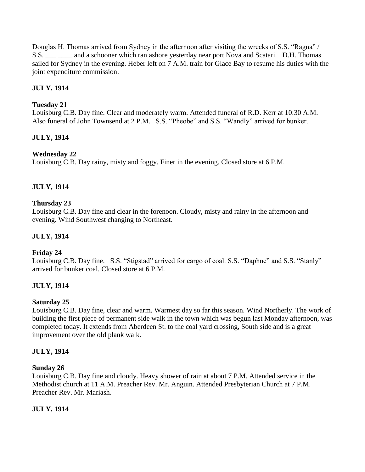Douglas H. Thomas arrived from Sydney in the afternoon after visiting the wrecks of S.S. "Ragna" / S.S. and a schooner which ran ashore yesterday near port Nova and Scatari. D.H. Thomas sailed for Sydney in the evening. Heber left on 7 A.M. train for Glace Bay to resume his duties with the joint expenditure commission.

# **JULY, 1914**

## **Tuesday 21**

Louisburg C.B. Day fine. Clear and moderately warm. Attended funeral of R.D. Kerr at 10:30 A.M. Also funeral of John Townsend at 2 P.M. S.S. "Pheobe" and S.S. "Wandly" arrived for bunker.

# **JULY, 1914**

# **Wednesday 22**

Louisburg C.B. Day rainy, misty and foggy. Finer in the evening. Closed store at 6 P.M.

### **JULY, 1914**

### **Thursday 23**

Louisburg C.B. Day fine and clear in the forenoon. Cloudy, misty and rainy in the afternoon and evening. Wind Southwest changing to Northeast.

### **JULY, 1914**

### **Friday 24**

Louisburg C.B. Day fine. S.S. "Stigstad" arrived for cargo of coal. S.S. "Daphne" and S.S. "Stanly" arrived for bunker coal. Closed store at 6 P.M.

### **JULY, 1914**

### **Saturday 25**

Louisburg C.B. Day fine, clear and warm. Warmest day so far this season. Wind Northerly. The work of building the first piece of permanent side walk in the town which was begun last Monday afternoon, was completed today. It extends from Aberdeen St. to the coal yard crossing, South side and is a great improvement over the old plank walk.

### **JULY, 1914**

### **Sunday 26**

Louisburg C.B. Day fine and cloudy. Heavy shower of rain at about 7 P.M. Attended service in the Methodist church at 11 A.M. Preacher Rev. Mr. Anguin. Attended Presbyterian Church at 7 P.M. Preacher Rev. Mr. Mariash.

### **JULY, 1914**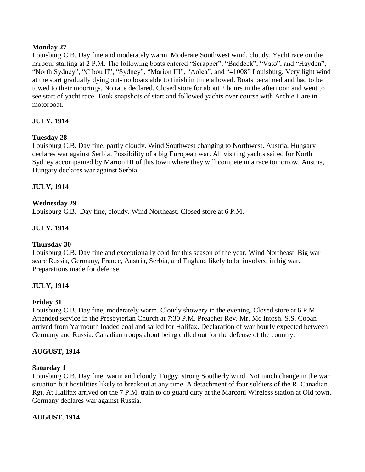### **Monday 27**

Louisburg C.B. Day fine and moderately warm. Moderate Southwest wind, cloudy. Yacht race on the harbour starting at 2 P.M. The following boats entered "Scrapper", "Baddeck", "Vato", and "Hayden", "North Sydney", "Cibou II", "Sydney", "Marion III", "Aolea", and "41008" Louisburg. Very light wind at the start gradually dying out- no boats able to finish in time allowed. Boats becalmed and had to be towed to their moorings. No race declared. Closed store for about 2 hours in the afternoon and went to see start of yacht race. Took snapshots of start and followed yachts over course with Archie Hare in motorboat.

# **JULY, 1914**

# **Tuesday 28**

Louisburg C.B. Day fine, partly cloudy. Wind Southwest changing to Northwest. Austria, Hungary declares war against Serbia. Possibility of a big European war. All visiting yachts sailed for North Sydney accompanied by Marion III of this town where they will compete in a race tomorrow. Austria, Hungary declares war against Serbia.

# **JULY, 1914**

# **Wednesday 29**

Louisburg C.B. Day fine, cloudy. Wind Northeast. Closed store at 6 P.M.

# **JULY, 1914**

# **Thursday 30**

Louisburg C.B. Day fine and exceptionally cold for this season of the year. Wind Northeast. Big war scare Russia, Germany, France, Austria, Serbia, and England likely to be involved in big war. Preparations made for defense.

# **JULY, 1914**

### **Friday 31**

Louisburg C.B. Day fine, moderately warm. Cloudy showery in the evening. Closed store at 6 P.M. Attended service in the Presbyterian Church at 7:30 P.M. Preacher Rev. Mr. Mc Intosh. S.S. Coban arrived from Yarmouth loaded coal and sailed for Halifax. Declaration of war hourly expected between Germany and Russia. Canadian troops about being called out for the defense of the country.

### **AUGUST, 1914**

### **Saturday 1**

Louisburg C.B. Day fine, warm and cloudy. Foggy, strong Southerly wind. Not much change in the war situation but hostilities likely to breakout at any time. A detachment of four soldiers of the R. Canadian Rgt. At Halifax arrived on the 7 P.M. train to do guard duty at the Marconi Wireless station at Old town. Germany declares war against Russia.

# **AUGUST, 1914**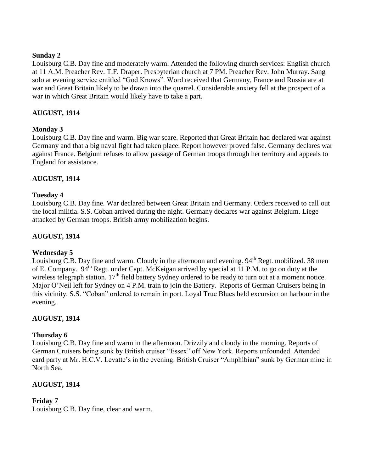### **Sunday 2**

Louisburg C.B. Day fine and moderately warm. Attended the following church services: English church at 11 A.M. Preacher Rev. T.F. Draper. Presbyterian church at 7 PM. Preacher Rev. John Murray. Sang solo at evening service entitled "God Knows". Word received that Germany, France and Russia are at war and Great Britain likely to be drawn into the quarrel. Considerable anxiety fell at the prospect of a war in which Great Britain would likely have to take a part.

# **AUGUST, 1914**

# **Monday 3**

Louisburg C.B. Day fine and warm. Big war scare. Reported that Great Britain had declared war against Germany and that a big naval fight had taken place. Report however proved false. Germany declares war against France. Belgium refuses to allow passage of German troops through her territory and appeals to England for assistance.

# **AUGUST, 1914**

### **Tuesday 4**

Louisburg C.B. Day fine. War declared between Great Britain and Germany. Orders received to call out the local militia. S.S. Coban arrived during the night. Germany declares war against Belgium. Liege attacked by German troops. British army mobilization begins.

### **AUGUST, 1914**

### **Wednesday 5**

Louisburg C.B. Day fine and warm. Cloudy in the afternoon and evening.  $94<sup>th</sup>$  Regt. mobilized. 38 men of E. Company. 94<sup>th</sup> Regt. under Capt. McKeigan arrived by special at 11 P.M. to go on duty at the wireless telegraph station. 17<sup>th</sup> field battery Sydney ordered to be ready to turn out at a moment notice. Major O"Neil left for Sydney on 4 P.M. train to join the Battery. Reports of German Cruisers being in this vicinity. S.S. "Coban" ordered to remain in port. Loyal True Blues held excursion on harbour in the evening.

### **AUGUST, 1914**

### **Thursday 6**

Louisburg C.B. Day fine and warm in the afternoon. Drizzily and cloudy in the morning. Reports of German Cruisers being sunk by British cruiser "Essex" off New York. Reports unfounded. Attended card party at Mr. H.C.V. Levatte's in the evening. British Cruiser "Amphibian" sunk by German mine in North Sea.

### **AUGUST, 1914**

### **Friday 7**

Louisburg C.B. Day fine, clear and warm.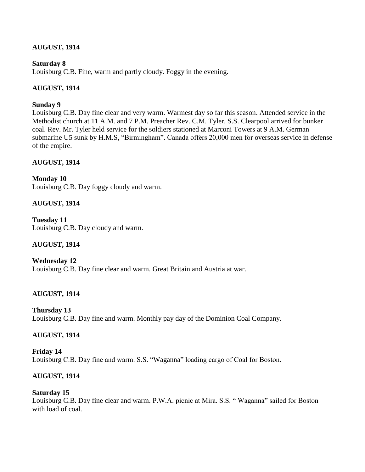# **AUGUST, 1914**

### **Saturday 8**

Louisburg C.B. Fine, warm and partly cloudy. Foggy in the evening.

# **AUGUST, 1914**

### **Sunday 9**

Louisburg C.B. Day fine clear and very warm. Warmest day so far this season. Attended service in the Methodist church at 11 A.M. and 7 P.M. Preacher Rev. C.M. Tyler. S.S. Clearpool arrived for bunker coal. Rev. Mr. Tyler held service for the soldiers stationed at Marconi Towers at 9 A.M. German submarine U5 sunk by H.M.S, "Birmingham". Canada offers 20,000 men for overseas service in defense of the empire.

# **AUGUST, 1914**

**Monday 10** Louisburg C.B. Day foggy cloudy and warm.

# **AUGUST, 1914**

**Tuesday 11** Louisburg C.B. Day cloudy and warm.

# **AUGUST, 1914**

**Wednesday 12** Louisburg C.B. Day fine clear and warm. Great Britain and Austria at war.

# **AUGUST, 1914**

**Thursday 13** Louisburg C.B. Day fine and warm. Monthly pay day of the Dominion Coal Company.

# **AUGUST, 1914**

**Friday 14** Louisburg C.B. Day fine and warm. S.S. "Waganna" loading cargo of Coal for Boston.

# **AUGUST, 1914**

# **Saturday 15**

Louisburg C.B. Day fine clear and warm. P.W.A. picnic at Mira. S.S. " Waganna" sailed for Boston with load of coal.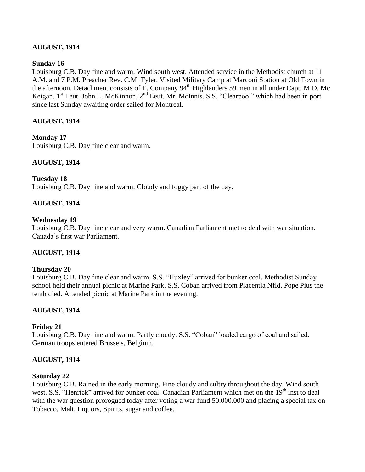# **AUGUST, 1914**

### **Sunday 16**

Louisburg C.B. Day fine and warm. Wind south west. Attended service in the Methodist church at 11 A.M. and 7 P.M. Preacher Rev. C.M. Tyler. Visited Military Camp at Marconi Station at Old Town in the afternoon. Detachment consists of E. Company 94<sup>th</sup> Highlanders 59 men in all under Capt. M.D. Mc Keigan. 1<sup>st</sup> Leut. John L. McKinnon, 2<sup>nd</sup> Leut. Mr. McInnis. S.S. "Clearpool" which had been in port since last Sunday awaiting order sailed for Montreal.

### **AUGUST, 1914**

### **Monday 17**

Louisburg C.B. Day fine clear and warm.

# **AUGUST, 1914**

### **Tuesday 18**

Louisburg C.B. Day fine and warm. Cloudy and foggy part of the day.

### **AUGUST, 1914**

### **Wednesday 19**

Louisburg C.B. Day fine clear and very warm. Canadian Parliament met to deal with war situation. Canada"s first war Parliament.

### **AUGUST, 1914**

### **Thursday 20**

Louisburg C.B. Day fine clear and warm. S.S. "Huxley" arrived for bunker coal. Methodist Sunday school held their annual picnic at Marine Park. S.S. Coban arrived from Placentia Nfld. Pope Pius the tenth died. Attended picnic at Marine Park in the evening.

# **AUGUST, 1914**

# **Friday 21**

Louisburg C.B. Day fine and warm. Partly cloudy. S.S. "Coban" loaded cargo of coal and sailed. German troops entered Brussels, Belgium.

### **AUGUST, 1914**

### **Saturday 22**

Louisburg C.B. Rained in the early morning. Fine cloudy and sultry throughout the day. Wind south west. S.S. "Henrick" arrived for bunker coal. Canadian Parliament which met on the 19<sup>th</sup> inst to deal with the war question prorogued today after voting a war fund 50.000.000 and placing a special tax on Tobacco, Malt, Liquors, Spirits, sugar and coffee.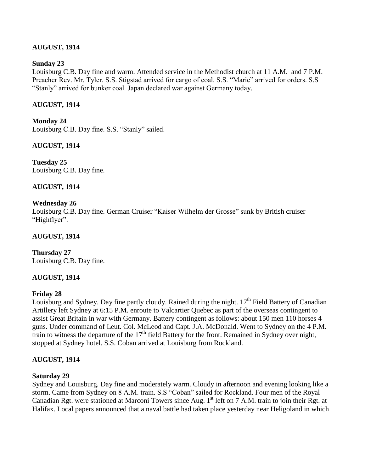# **AUGUST, 1914**

### **Sunday 23**

Louisburg C.B. Day fine and warm. Attended service in the Methodist church at 11 A.M. and 7 P.M. Preacher Rev. Mr. Tyler. S.S. Stigstad arrived for cargo of coal. S.S. "Marie" arrived for orders. S.S "Stanly" arrived for bunker coal. Japan declared war against Germany today.

## **AUGUST, 1914**

**Monday 24** Louisburg C.B. Day fine. S.S. "Stanly" sailed.

**AUGUST, 1914**

**Tuesday 25** Louisburg C.B. Day fine.

### **AUGUST, 1914**

### **Wednesday 26**

Louisburg C.B. Day fine. German Cruiser "Kaiser Wilhelm der Grosse" sunk by British cruiser "Highflyer".

## **AUGUST, 1914**

**Thursday 27** Louisburg C.B. Day fine.

# **AUGUST, 1914**

### **Friday 28**

Louisburg and Sydney. Day fine partly cloudy. Rained during the night.  $17<sup>th</sup>$  Field Battery of Canadian Artillery left Sydney at 6:15 P.M. enroute to Valcartier Quebec as part of the overseas contingent to assist Great Britain in war with Germany. Battery contingent as follows: about 150 men 110 horses 4 guns. Under command of Leut. Col. McLeod and Capt. J.A. McDonald. Went to Sydney on the 4 P.M. train to witness the departure of the  $17<sup>th</sup>$  field Battery for the front. Remained in Sydney over night, stopped at Sydney hotel. S.S. Coban arrived at Louisburg from Rockland.

# **AUGUST, 1914**

### **Saturday 29**

Sydney and Louisburg. Day fine and moderately warm. Cloudy in afternoon and evening looking like a storm. Came from Sydney on 8 A.M. train. S.S "Coban" sailed for Rockland. Four men of the Royal Canadian Rgt. were stationed at Marconi Towers since Aug. 1<sup>st</sup> left on 7 A.M. train to join their Rgt. at Halifax. Local papers announced that a naval battle had taken place yesterday near Heligoland in which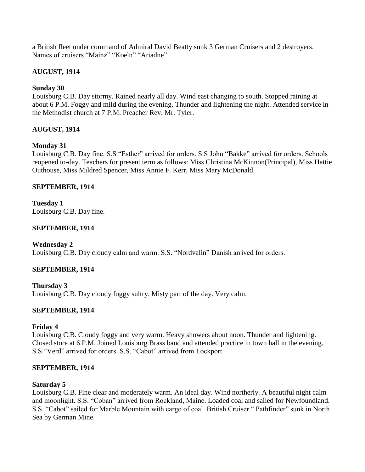a British fleet under command of Admiral David Beatty sunk 3 German Cruisers and 2 destroyers. Names of cruisers "Mainz" "Koeln" "Ariadne"

# **AUGUST, 1914**

# **Sunday 30**

Louisburg C.B. Day stormy. Rained nearly all day. Wind east changing to south. Stopped raining at about 6 P.M. Foggy and mild during the evening. Thunder and lightening the night. Attended service in the Methodist church at 7 P.M. Preacher Rev. Mr. Tyler.

# **AUGUST, 1914**

# **Monday 31**

Louisburg C.B. Day fine. S.S "Esther" arrived for orders. S.S John "Bakke" arrived for orders. Schools reopened to-day. Teachers for present term as follows: Miss Christina McKinnon(Principal), Miss Hattie Outhouse, Miss Mildred Spencer, Miss Annie F. Kerr, Miss Mary McDonald.

### **SEPTEMBER, 1914**

**Tuesday 1** Louisburg C.B. Day fine.

### **SEPTEMBER, 1914**

**Wednesday 2** Louisburg C.B. Day cloudy calm and warm. S.S. "Nordvalin" Danish arrived for orders.

# **SEPTEMBER, 1914**

**Thursday 3** Louisburg C.B. Day cloudy foggy sultry. Misty part of the day. Very calm.

# **SEPTEMBER, 1914**

# **Friday 4**

Louisburg C.B. Cloudy foggy and very warm. Heavy showers about noon. Thunder and lightening. Closed store at 6 P.M. Joined Louisburg Brass band and attended practice in town hall in the evening. S.S "Verd" arrived for orders. S.S. "Cabot" arrived from Lockport.

### **SEPTEMBER, 1914**

### **Saturday 5**

Louisburg C.B. Fine clear and moderately warm. An ideal day. Wind northerly. A beautiful night calm and moonlight. S.S. "Coban" arrived from Rockland, Maine. Loaded coal and sailed for Newfoundland. S.S. "Cabot" sailed for Marble Mountain with cargo of coal. British Cruiser " Pathfinder" sunk in North Sea by German Mine.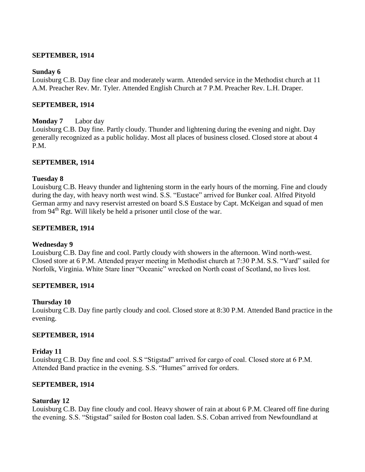### **SEPTEMBER, 1914**

### **Sunday 6**

Louisburg C.B. Day fine clear and moderately warm. Attended service in the Methodist church at 11 A.M. Preacher Rev. Mr. Tyler. Attended English Church at 7 P.M. Preacher Rev. L.H. Draper.

### **SEPTEMBER, 1914**

### **Monday 7** Labor day

Louisburg C.B. Day fine. Partly cloudy. Thunder and lightening during the evening and night. Day generally recognized as a public holiday. Most all places of business closed. Closed store at about 4 P.M.

### **SEPTEMBER, 1914**

### **Tuesday 8**

Louisburg C.B. Heavy thunder and lightening storm in the early hours of the morning. Fine and cloudy during the day, with heavy north west wind. S.S. "Eustace" arrived for Bunker coal. Alfred Pityold German army and navy reservist arrested on board S.S Eustace by Capt. McKeigan and squad of men from 94<sup>th</sup> Rgt. Will likely be held a prisoner until close of the war.

### **SEPTEMBER, 1914**

### **Wednesday 9**

Louisburg C.B. Day fine and cool. Partly cloudy with showers in the afternoon. Wind north-west. Closed store at 6 P.M. Attended prayer meeting in Methodist church at 7:30 P.M. S.S. "Vard" sailed for Norfolk, Virginia. White Stare liner "Oceanic" wrecked on North coast of Scotland, no lives lost.

### **SEPTEMBER, 1914**

### **Thursday 10**

Louisburg C.B. Day fine partly cloudy and cool. Closed store at 8:30 P.M. Attended Band practice in the evening.

### **SEPTEMBER, 1914**

### **Friday 11**

Louisburg C.B. Day fine and cool. S.S "Stigstad" arrived for cargo of coal. Closed store at 6 P.M. Attended Band practice in the evening. S.S. "Humes" arrived for orders.

### **SEPTEMBER, 1914**

### **Saturday 12**

Louisburg C.B. Day fine cloudy and cool. Heavy shower of rain at about 6 P.M. Cleared off fine during the evening. S.S. "Stigstad" sailed for Boston coal laden. S.S. Coban arrived from Newfoundland at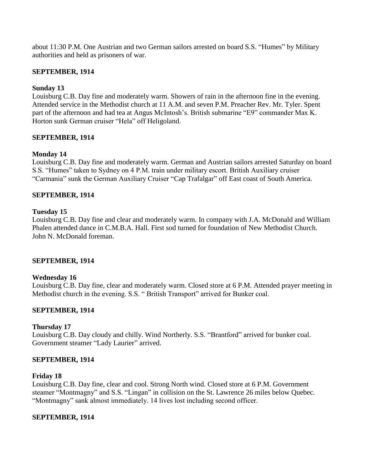about 11:30 P.M. One Austrian and two German sailors arrested on board S.S. "Humes" by Military authorities and held as prisoners of war.

### **SEPTEMBER, 1914**

## **Sunday 13**

Louisburg C.B. Day fine and moderately warm. Showers of rain in the afternoon fine in the evening. Attended service in the Methodist church at 11 A.M. and seven P.M. Preacher Rev. Mr. Tyler. Spent part of the afternoon and had tea at Angus McIntosh"s. British submarine "E9" commander Max K. Horton sunk German cruiser "Hela" off Heligoland.

### **SEPTEMBER, 1914**

### **Monday 14**

Louisburg C.B. Day fine and moderately warm. German and Austrian sailors arrested Saturday on board S.S. "Humes" taken to Sydney on 4 P.M. train under military escort. British Auxiliary cruiser "Carmania" sunk the German Auxiliary Cruiser "Cap Trafalgar" off East coast of South America.

### **SEPTEMBER, 1914**

### **Tuesday 15**

Louisburg C.B. Day fine and clear and moderately warm. In company with J.A. McDonald and William Phalen attended dance in C.M.B.A. Hall. First sod turned for foundation of New Methodist Church. John N. McDonald foreman.

### **SEPTEMBER, 1914**

### **Wednesday 16**

Louisburg C.B. Day fine, clear and moderately warm. Closed store at 6 P.M. Attended prayer meeting in Methodist church in the evening. S.S. " British Transport" arrived for Bunker coal.

### **SEPTEMBER, 1914**

### **Thursday 17**

Louisburg C.B. Day cloudy and chilly. Wind Northerly. S.S. "Brantford" arrived for bunker coal. Government steamer "Lady Laurier" arrived.

### **SEPTEMBER, 1914**

#### **Friday 18**

Louisburg C.B. Day fine, clear and cool. Strong North wind. Closed store at 6 P.M. Government steamer "Montmagny" and S.S. "Lingan" in collision on the St. Lawrence 26 miles below Quebec. "Montmagny" sank almost immediately. 14 lives lost including second officer.

### **SEPTEMBER, 1914**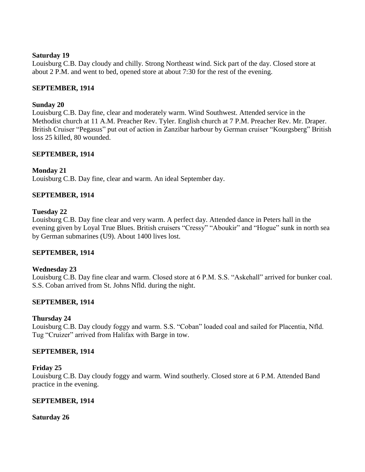#### **Saturday 19**

Louisburg C.B. Day cloudy and chilly. Strong Northeast wind. Sick part of the day. Closed store at about 2 P.M. and went to bed, opened store at about 7:30 for the rest of the evening.

### **SEPTEMBER, 1914**

### **Sunday 20**

Louisburg C.B. Day fine, clear and moderately warm. Wind Southwest. Attended service in the Methodist church at 11 A.M. Preacher Rev. Tyler. English church at 7 P.M. Preacher Rev. Mr. Draper. British Cruiser "Pegasus" put out of action in Zanzibar harbour by German cruiser "Kourgsberg" British loss 25 killed, 80 wounded.

### **SEPTEMBER, 1914**

### **Monday 21**

Louisburg C.B. Day fine, clear and warm. An ideal September day.

### **SEPTEMBER, 1914**

#### **Tuesday 22**

Louisburg C.B. Day fine clear and very warm. A perfect day. Attended dance in Peters hall in the evening given by Loyal True Blues. British cruisers "Cressy" "Aboukir" and "Hogue" sunk in north sea by German submarines (U9). About 1400 lives lost.

### **SEPTEMBER, 1914**

### **Wednesday 23**

Louisburg C.B. Day fine clear and warm. Closed store at 6 P.M. S.S. "Askehall" arrived for bunker coal. S.S. Coban arrived from St. Johns Nfld. during the night.

### **SEPTEMBER, 1914**

### **Thursday 24**

Louisburg C.B. Day cloudy foggy and warm. S.S. "Coban" loaded coal and sailed for Placentia, Nfld. Tug "Cruizer" arrived from Halifax with Barge in tow.

#### **SEPTEMBER, 1914**

#### **Friday 25**

Louisburg C.B. Day cloudy foggy and warm. Wind southerly. Closed store at 6 P.M. Attended Band practice in the evening.

#### **SEPTEMBER, 1914**

#### **Saturday 26**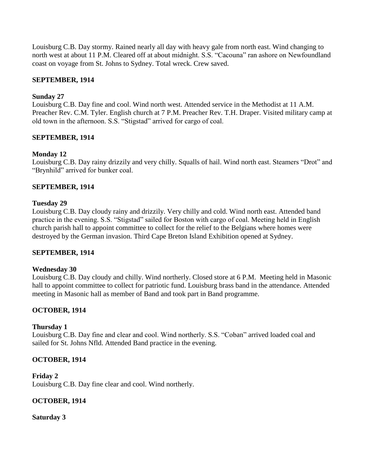Louisburg C.B. Day stormy. Rained nearly all day with heavy gale from north east. Wind changing to north west at about 11 P.M. Cleared off at about midnight. S.S. "Cacouna" ran ashore on Newfoundland coast on voyage from St. Johns to Sydney. Total wreck. Crew saved.

## **SEPTEMBER, 1914**

### **Sunday 27**

Louisburg C.B. Day fine and cool. Wind north west. Attended service in the Methodist at 11 A.M. Preacher Rev. C.M. Tyler. English church at 7 P.M. Preacher Rev. T.H. Draper. Visited military camp at old town in the afternoon. S.S. "Stigstad" arrived for cargo of coal.

### **SEPTEMBER, 1914**

### **Monday 12**

Louisburg C.B. Day rainy drizzily and very chilly. Squalls of hail. Wind north east. Steamers "Drot" and "Brynhild" arrived for bunker coal.

### **SEPTEMBER, 1914**

### **Tuesday 29**

Louisburg C.B. Day cloudy rainy and drizzily. Very chilly and cold. Wind north east. Attended band practice in the evening. S.S. "Stigstad" sailed for Boston with cargo of coal. Meeting held in English church parish hall to appoint committee to collect for the relief to the Belgians where homes were destroyed by the German invasion. Third Cape Breton Island Exhibition opened at Sydney.

### **SEPTEMBER, 1914**

### **Wednesday 30**

Louisburg C.B. Day cloudy and chilly. Wind northerly. Closed store at 6 P.M. Meeting held in Masonic hall to appoint committee to collect for patriotic fund. Louisburg brass band in the attendance. Attended meeting in Masonic hall as member of Band and took part in Band programme.

# **OCTOBER, 1914**

### **Thursday 1**

Louisburg C.B. Day fine and clear and cool. Wind northerly. S.S. "Coban" arrived loaded coal and sailed for St. Johns Nfld. Attended Band practice in the evening.

### **OCTOBER, 1914**

### **Friday 2**

Louisburg C.B. Day fine clear and cool. Wind northerly.

### **OCTOBER, 1914**

### **Saturday 3**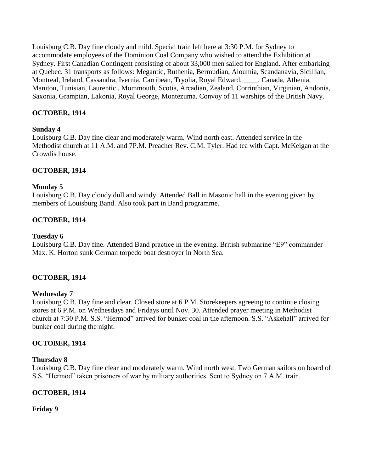Louisburg C.B. Day fine cloudy and mild. Special train left here at 3:30 P.M. for Sydney to accommodate employees of the Dominion Coal Company who wished to attend the Exhibition at Sydney. First Canadian Contingent consisting of about 33,000 men sailed for England. After embarking at Quebec. 31 transports as follows: Megantic, Ruthenia, Bermudian, Aloumia, Scandanavia, Sicillian, Montreal, Ireland, Cassandra, Ivernia, Carribean, Tryolia, Royal Edward, \_\_\_\_, Canada, Athenia, Manitou, Tunisian, Laurentic , Mommouth, Scotia, Arcadian, Zealand, Corrinthian, Virginian, Andonia, Saxonia, Grampian, Lakonia, Royal George, Montezuma. Convoy of 11 warships of the British Navy.

# **OCTOBER, 1914**

### **Sunday 4**

Louisburg C.B. Day fine clear and moderately warm. Wind north east. Attended service in the Methodist church at 11 A.M. and 7P.M. Preacher Rev. C.M. Tyler. Had tea with Capt. McKeigan at the Crowdis house.

# **OCTOBER, 1914**

### **Monday 5**

Louisburg C.B. Day cloudy dull and windy. Attended Ball in Masonic hall in the evening given by members of Louisburg Band. Also took part in Band programme.

# **OCTOBER, 1914**

### **Tuesday 6**

Louisburg C.B. Day fine. Attended Band practice in the evening. British submarine "E9" commander Max. K. Horton sunk German torpedo boat destroyer in North Sea.

# **OCTOBER, 1914**

# **Wednesday 7**

Louisburg C.B. Day fine and clear. Closed store at 6 P.M. Storekeepers agreeing to continue closing stores at 6 P.M. on Wednesdays and Fridays until Nov. 30. Attended prayer meeting in Methodist church at 7:30 P.M. S.S. "Hermod" arrived for bunker coal in the afternoon. S.S. "Askehall" arrived for bunker coal during the night.

# **OCTOBER, 1914**

### **Thursday 8**

Louisburg C.B. Day fine clear and moderately warm. Wind north west. Two German sailors on board of S.S. "Hermod" taken prisoners of war by military authorities. Sent to Sydney on 7 A.M. train.

# **OCTOBER, 1914**

# **Friday 9**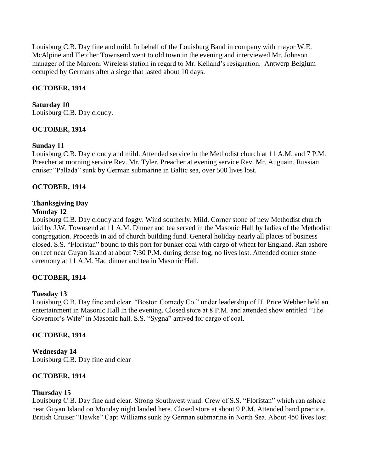Louisburg C.B. Day fine and mild. In behalf of the Louisburg Band in company with mayor W.E. McAlpine and Fletcher Townsend went to old town in the evening and interviewed Mr. Johnson manager of the Marconi Wireless station in regard to Mr. Kelland"s resignation. Antwerp Belgium occupied by Germans after a siege that lasted about 10 days.

# **OCTOBER, 1914**

# **Saturday 10**

Louisburg C.B. Day cloudy.

# **OCTOBER, 1914**

### **Sunday 11**

Louisburg C.B. Day cloudy and mild. Attended service in the Methodist church at 11 A.M. and 7 P.M. Preacher at morning service Rev. Mr. Tyler. Preacher at evening service Rev. Mr. Auguain. Russian cruiser "Pallada" sunk by German submarine in Baltic sea, over 500 lives lost.

### **OCTOBER, 1914**

# **Thanksgiving Day**

### **Monday 12**

Louisburg C.B. Day cloudy and foggy. Wind southerly. Mild. Corner stone of new Methodist church laid by J.W. Townsend at 11 A.M. Dinner and tea served in the Masonic Hall by ladies of the Methodist congregation. Proceeds in aid of church building fund. General holiday nearly all places of business closed. S.S. "Floristan" bound to this port for bunker coal with cargo of wheat for England. Ran ashore on reef near Guyan Island at about 7:30 P.M. during dense fog, no lives lost. Attended corner stone ceremony at 11 A.M. Had dinner and tea in Masonic Hall.

# **OCTOBER, 1914**

# **Tuesday 13**

Louisburg C.B. Day fine and clear. "Boston Comedy Co." under leadership of H. Price Webber held an entertainment in Masonic Hall in the evening. Closed store at 8 P.M. and attended show entitled "The Governor's Wife" in Masonic hall. S.S. "Sygna" arrived for cargo of coal.

### **OCTOBER, 1914**

**Wednesday 14** Louisburg C.B. Day fine and clear

### **OCTOBER, 1914**

### **Thursday 15**

Louisburg C.B. Day fine and clear. Strong Southwest wind. Crew of S.S. "Floristan" which ran ashore near Guyan Island on Monday night landed here. Closed store at about 9 P.M. Attended band practice. British Cruiser "Hawke" Capt Williams sunk by German submarine in North Sea. About 450 lives lost.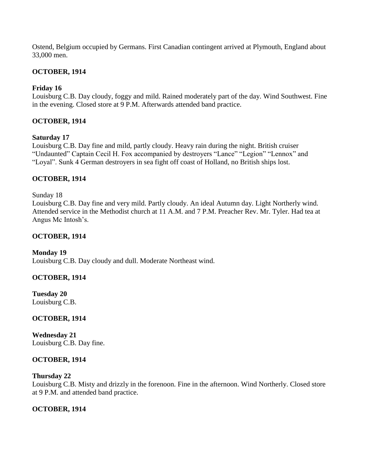Ostend, Belgium occupied by Germans. First Canadian contingent arrived at Plymouth, England about 33,000 men.

## **OCTOBER, 1914**

## **Friday 16**

Louisburg C.B. Day cloudy, foggy and mild. Rained moderately part of the day. Wind Southwest. Fine in the evening. Closed store at 9 P.M. Afterwards attended band practice.

### **OCTOBER, 1914**

### **Saturday 17**

Louisburg C.B. Day fine and mild, partly cloudy. Heavy rain during the night. British cruiser "Undaunted" Captain Cecil H. Fox accompanied by destroyers "Lance" "Legion" "Lennox" and "Loyal". Sunk 4 German destroyers in sea fight off coast of Holland, no British ships lost.

### **OCTOBER, 1914**

Sunday 18 Louisburg C.B. Day fine and very mild. Partly cloudy. An ideal Autumn day. Light Northerly wind. Attended service in the Methodist church at 11 A.M. and 7 P.M. Preacher Rev. Mr. Tyler. Had tea at Angus Mc Intosh"s.

### **OCTOBER, 1914**

**Monday 19** Louisburg C.B. Day cloudy and dull. Moderate Northeast wind.

# **OCTOBER, 1914**

**Tuesday 20** Louisburg C.B.

# **OCTOBER, 1914**

**Wednesday 21** Louisburg C.B. Day fine.

### **OCTOBER, 1914**

### **Thursday 22**

Louisburg C.B. Misty and drizzly in the forenoon. Fine in the afternoon. Wind Northerly. Closed store at 9 P.M. and attended band practice.

### **OCTOBER, 1914**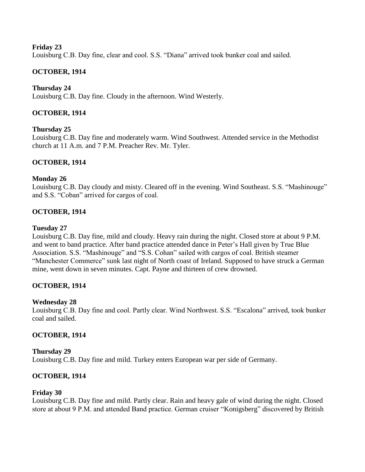### **Friday 23**

Louisburg C.B. Day fine, clear and cool. S.S. "Diana" arrived took bunker coal and sailed.

# **OCTOBER, 1914**

## **Thursday 24**

Louisburg C.B. Day fine. Cloudy in the afternoon. Wind Westerly.

## **OCTOBER, 1914**

### **Thursday 25**

Louisburg C.B. Day fine and moderately warm. Wind Southwest. Attended service in the Methodist church at 11 A.m. and 7 P.M. Preacher Rev. Mr. Tyler.

### **OCTOBER, 1914**

### **Monday 26**

Louisburg C.B. Day cloudy and misty. Cleared off in the evening. Wind Southeast. S.S. "Mashinouge" and S.S. "Coban" arrived for cargos of coal.

### **OCTOBER, 1914**

### **Tuesday 27**

Louisburg C.B. Day fine, mild and cloudy. Heavy rain during the night. Closed store at about 9 P.M. and went to band practice. After band practice attended dance in Peter"s Hall given by True Blue Association. S.S. "Mashinouge" and "S.S. Cohan" sailed with cargos of coal. British steamer "Manchester Commerce" sunk last night of North coast of Ireland. Supposed to have struck a German mine, went down in seven minutes. Capt. Payne and thirteen of crew drowned.

### **OCTOBER, 1914**

### **Wednesday 28**

Louisburg C.B. Day fine and cool. Partly clear. Wind Northwest. S.S. "Escalona" arrived, took bunker coal and sailed.

### **OCTOBER, 1914**

**Thursday 29** Louisburg C.B. Day fine and mild. Turkey enters European war per side of Germany.

### **OCTOBER, 1914**

### **Friday 30**

Louisburg C.B. Day fine and mild. Partly clear. Rain and heavy gale of wind during the night. Closed store at about 9 P.M. and attended Band practice. German cruiser "Konigsberg" discovered by British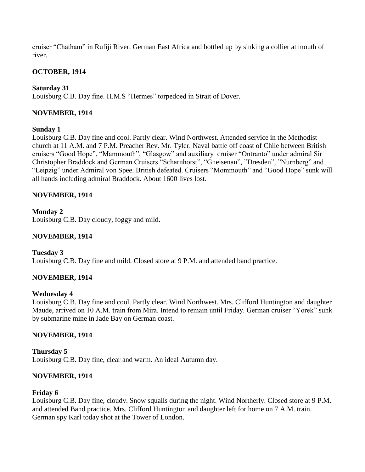cruiser "Chatham" in Rufiji River. German East Africa and bottled up by sinking a collier at mouth of river.

## **OCTOBER, 1914**

## **Saturday 31**

Louisburg C.B. Day fine. H.M.S "Hermes" torpedoed in Strait of Dover.

### **NOVEMBER, 1914**

### **Sunday 1**

Louisburg C.B. Day fine and cool. Partly clear. Wind Northwest. Attended service in the Methodist church at 11 A.M. and 7 P.M. Preacher Rev. Mr. Tyler. Naval battle off coast of Chile between British cruisers "Good Hope", "Mammouth", "Glasgow" and auxiliary cruiser "Ontranto" under admiral Sir Christopher Braddock and German Cruisers "Scharnhorst", "Gneisenau", "Dresden", "Nurnberg" and "Leipzig" under Admiral von Spee. British defeated. Cruisers "Mommouth" and "Good Hope" sunk will all hands including admiral Braddock. About 1600 lives lost.

### **NOVEMBER, 1914**

**Monday 2** Louisburg C.B. Day cloudy, foggy and mild.

## **NOVEMBER, 1914**

**Tuesday 3** Louisburg C.B. Day fine and mild. Closed store at 9 P.M. and attended band practice.

### **NOVEMBER, 1914**

### **Wednesday 4**

Louisburg C.B. Day fine and cool. Partly clear. Wind Northwest. Mrs. Clifford Huntington and daughter Maude, arrived on 10 A.M. train from Mira. Intend to remain until Friday. German cruiser "Yorek" sunk by submarine mine in Jade Bay on German coast.

### **NOVEMBER, 1914**

**Thursday 5** Louisburg C.B. Day fine, clear and warm. An ideal Autumn day.

### **NOVEMBER, 1914**

### **Friday 6**

Louisburg C.B. Day fine, cloudy. Snow squalls during the night. Wind Northerly. Closed store at 9 P.M. and attended Band practice. Mrs. Clifford Huntington and daughter left for home on 7 A.M. train. German spy Karl today shot at the Tower of London.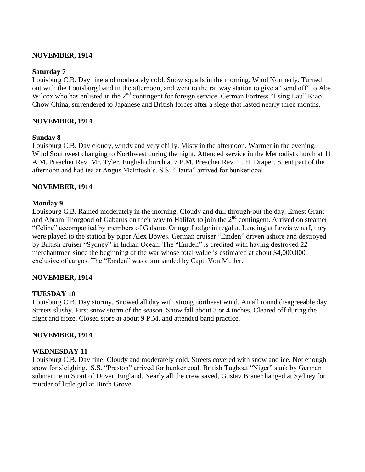### **NOVEMBER, 1914**

### **Saturday 7**

Louisburg C.B. Day fine and moderately cold. Snow squalls in the morning. Wind Northerly. Turned out with the Louisburg band in the afternoon, and went to the railway station to give a "send off" to Abe Wilcox who has enlisted in the 2<sup>nd</sup> contingent for foreign service. German Fortress "Lsing Lau" Kiao Chow China, surrendered to Japanese and British forces after a siege that lasted nearly three months.

### **NOVEMBER, 1914**

#### **Sunday 8**

Louisburg C.B. Day cloudy, windy and very chilly. Misty in the afternoon. Warmer in the evening. Wind Southwest changing to Northwest during the night. Attended service in the Methodist church at 11 A.M. Preacher Rev. Mr. Tyler. English church at 7 P.M. Preacher Rev. T. H. Draper. Spent part of the afternoon and had tea at Angus McIntosh"s. S.S. "Bauta" arrived for bunker coal.

### **NOVEMBER, 1914**

#### **Monday 9**

Louisburg C.B. Rained moderately in the morning. Cloudy and dull through-out the day. Ernest Grant and Abram Thorgood of Gabarus on their way to Halifax to join the  $2<sup>nd</sup>$  contingent. Arrived on steamer "Celine" accompanied by members of Gabarus Orange Lodge in regalia. Landing at Lewis wharf, they were played to the station by piper Alex Bowes. German cruiser "Emden" driven ashore and destroyed by British cruiser "Sydney" in Indian Ocean. The "Emden" is credited with having destroyed 22 merchantmen since the beginning of the war whose total value is estimated at about \$4,000,000 exclusive of cargos. The "Emden" was commanded by Capt. Von Muller.

### **NOVEMBER, 1914**

### **TUESDAY 10**

Louisburg C.B. Day stormy. Snowed all day with strong northeast wind. An all round disagreeable day. Streets slushy. First snow storm of the season. Snow fall about 3 or 4 inches. Cleared off during the night and froze. Closed store at about 9 P.M. and attended band practice.

### **NOVEMBER, 1914**

### **WEDNESDAY 11**

Louisburg C.B. Day fine. Cloudy and moderately cold. Streets covered with snow and ice. Not enough snow for sleighing. S.S. "Preston" arrived for bunker coal. British Tugboat "Niger" sunk by German submarine in Strait of Dover, England. Nearly all the crew saved. Gustav Brauer hanged at Sydney for murder of little girl at Birch Grove.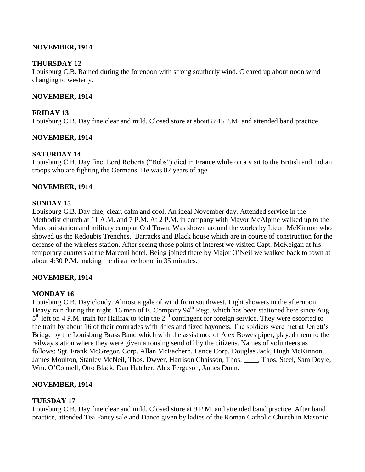### **NOVEMBER, 1914**

### **THURSDAY 12**

Louisburg C.B. Rained during the forenoon with strong southerly wind. Cleared up about noon wind changing to westerly.

### **NOVEMBER, 1914**

### **FRIDAY 13**

Louisburg C.B. Day fine clear and mild. Closed store at about 8:45 P.M. and attended band practice.

### **NOVEMBER, 1914**

# **SATURDAY 14**

Louisburg C.B. Day fine. Lord Roberts ("Bobs") died in France while on a visit to the British and Indian troops who are fighting the Germans. He was 82 years of age.

### **NOVEMBER, 1914**

### **SUNDAY 15**

Louisburg C.B. Day fine, clear, calm and cool. An ideal November day. Attended service in the Methodist church at 11 A.M. and 7 P.M. At 2 P.M. in company with Mayor McAlpine walked up to the Marconi station and military camp at Old Town. Was shown around the works by Lieut. McKinnon who showed us the Redoubts Trenches, Barracks and Black house which are in course of construction for the defense of the wireless station. After seeing those points of interest we visited Capt. McKeigan at his temporary quarters at the Marconi hotel. Being joined there by Major O"Neil we walked back to town at about 4:30 P.M. making the distance home in 35 minutes.

### **NOVEMBER, 1914**

# **MONDAY 16**

Louisburg C.B. Day cloudy. Almost a gale of wind from southwest. Light showers in the afternoon. Heavy rain during the night. 16 men of E. Company 94<sup>th</sup> Regt. which has been stationed here since Aug  $5<sup>th</sup>$  left on 4 P.M. train for Halifax to join the  $2<sup>nd</sup>$  contingent for foreign service. They were escorted to the train by about 16 of their comrades with rifles and fixed bayonets. The soldiers were met at Jerrett"s Bridge by the Louisburg Brass Band which with the assistance of Alex Bowes piper, played them to the railway station where they were given a rousing send off by the citizens. Names of volunteers as follows: Sgt. Frank McGregor, Corp. Allan McEachern, Lance Corp. Douglas Jack, Hugh McKinnon, James Moulton, Stanley McNeil, Thos. Dwyer, Harrison Chaisson, Thos. \_\_\_\_, Thos. Steel, Sam Doyle, Wm. O"Connell, Otto Black, Dan Hatcher, Alex Ferguson, James Dunn.

# **NOVEMBER, 1914**

# **TUESDAY 17**

Louisburg C.B. Day fine clear and mild. Closed store at 9 P.M. and attended band practice. After band practice, attended Tea Fancy sale and Dance given by ladies of the Roman Catholic Church in Masonic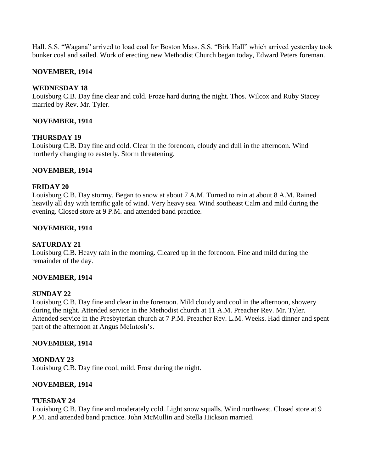Hall. S.S. "Wagana" arrived to load coal for Boston Mass. S.S. "Birk Hall" which arrived yesterday took bunker coal and sailed. Work of erecting new Methodist Church began today, Edward Peters foreman.

### **NOVEMBER, 1914**

### **WEDNESDAY 18**

Louisburg C.B. Day fine clear and cold. Froze hard during the night. Thos. Wilcox and Ruby Stacey married by Rev. Mr. Tyler.

### **NOVEMBER, 1914**

### **THURSDAY 19**

Louisburg C.B. Day fine and cold. Clear in the forenoon, cloudy and dull in the afternoon. Wind northerly changing to easterly. Storm threatening.

### **NOVEMBER, 1914**

### **FRIDAY 20**

Louisburg C.B. Day stormy. Began to snow at about 7 A.M. Turned to rain at about 8 A.M. Rained heavily all day with terrific gale of wind. Very heavy sea. Wind southeast Calm and mild during the evening. Closed store at 9 P.M. and attended band practice.

### **NOVEMBER, 1914**

### **SATURDAY 21**

Louisburg C.B. Heavy rain in the morning. Cleared up in the forenoon. Fine and mild during the remainder of the day.

### **NOVEMBER, 1914**

# **SUNDAY 22**

Louisburg C.B. Day fine and clear in the forenoon. Mild cloudy and cool in the afternoon, showery during the night. Attended service in the Methodist church at 11 A.M. Preacher Rev. Mr. Tyler. Attended service in the Presbyterian church at 7 P.M. Preacher Rev. L.M. Weeks. Had dinner and spent part of the afternoon at Angus McIntosh"s.

### **NOVEMBER, 1914**

### **MONDAY 23**

Louisburg C.B. Day fine cool, mild. Frost during the night.

# **NOVEMBER, 1914**

# **TUESDAY 24**

Louisburg C.B. Day fine and moderately cold. Light snow squalls. Wind northwest. Closed store at 9 P.M. and attended band practice. John McMullin and Stella Hickson married.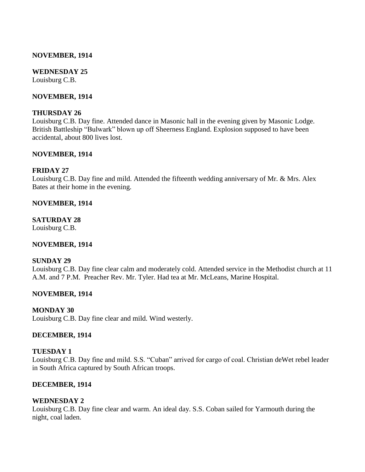#### **NOVEMBER, 1914**

#### **WEDNESDAY 25** Louisburg C.B.

#### **NOVEMBER, 1914**

#### **THURSDAY 26**

Louisburg C.B. Day fine. Attended dance in Masonic hall in the evening given by Masonic Lodge. British Battleship "Bulwark" blown up off Sheerness England. Explosion supposed to have been accidental, about 800 lives lost.

#### **NOVEMBER, 1914**

#### **FRIDAY 27**

Louisburg C.B. Day fine and mild. Attended the fifteenth wedding anniversary of Mr. & Mrs. Alex Bates at their home in the evening.

#### **NOVEMBER, 1914**

#### **SATURDAY 28**

Louisburg C.B.

### **NOVEMBER, 1914**

#### **SUNDAY 29**

Louisburg C.B. Day fine clear calm and moderately cold. Attended service in the Methodist church at 11 A.M. and 7 P.M. Preacher Rev. Mr. Tyler. Had tea at Mr. McLeans, Marine Hospital.

#### **NOVEMBER, 1914**

#### **MONDAY 30**

Louisburg C.B. Day fine clear and mild. Wind westerly.

#### **DECEMBER, 1914**

#### **TUESDAY 1**

Louisburg C.B. Day fine and mild. S.S. "Cuban" arrived for cargo of coal. Christian deWet rebel leader in South Africa captured by South African troops.

#### **DECEMBER, 1914**

#### **WEDNESDAY 2**

Louisburg C.B. Day fine clear and warm. An ideal day. S.S. Coban sailed for Yarmouth during the night, coal laden.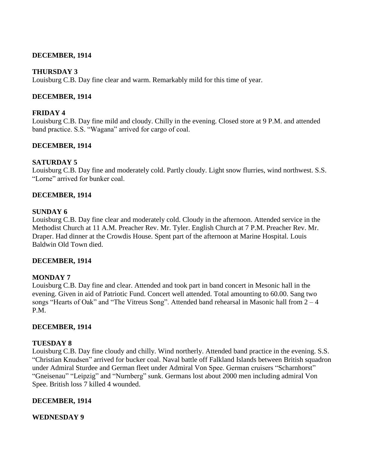### **DECEMBER, 1914**

### **THURSDAY 3**

Louisburg C.B. Day fine clear and warm. Remarkably mild for this time of year.

### **DECEMBER, 1914**

### **FRIDAY 4**

Louisburg C.B. Day fine mild and cloudy. Chilly in the evening. Closed store at 9 P.M. and attended band practice. S.S. "Wagana" arrived for cargo of coal.

### **DECEMBER, 1914**

### **SATURDAY 5**

Louisburg C.B. Day fine and moderately cold. Partly cloudy. Light snow flurries, wind northwest. S.S. "Lorne" arrived for bunker coal.

### **DECEMBER, 1914**

### **SUNDAY 6**

Louisburg C.B. Day fine clear and moderately cold. Cloudy in the afternoon. Attended service in the Methodist Church at 11 A.M. Preacher Rev. Mr. Tyler. English Church at 7 P.M. Preacher Rev. Mr. Draper. Had dinner at the Crowdis House. Spent part of the afternoon at Marine Hospital. Louis Baldwin Old Town died.

### **DECEMBER, 1914**

### **MONDAY 7**

Louisburg C.B. Day fine and clear. Attended and took part in band concert in Mesonic hall in the evening. Given in aid of Patriotic Fund. Concert well attended. Total amounting to 60.00. Sang two songs "Hearts of Oak" and "The Vitreus Song". Attended band rehearsal in Masonic hall from 2 – 4 P.M.

### **DECEMBER, 1914**

### **TUESDAY 8**

Louisburg C.B. Day fine cloudy and chilly. Wind northerly. Attended band practice in the evening. S.S. "Christian Knudsen" arrived for bucker coal. Naval battle off Falkland Islands between British squadron under Admiral Sturdee and German fleet under Admiral Von Spee. German cruisers "Scharnhorst" "Gneisenau" "Leipzig" and "Nurnberg" sunk. Germans lost about 2000 men including admiral Von Spee. British loss 7 killed 4 wounded.

### **DECEMBER, 1914**

### **WEDNESDAY 9**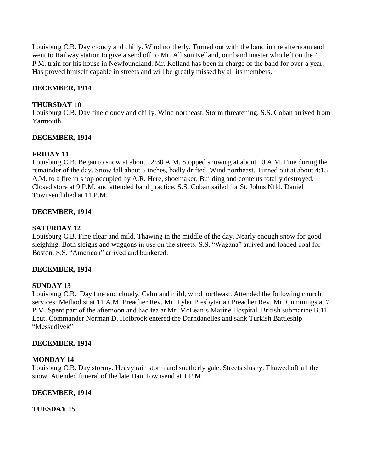Louisburg C.B. Day cloudy and chilly. Wind northerly. Turned out with the band in the afternoon and went to Railway station to give a send off to Mr. Allison Kelland, our band master who left on the 4 P.M. train for his house in Newfoundland. Mr. Kelland has been in charge of the band for over a year. Has proved himself capable in streets and will be greatly missed by all its members.

# **DECEMBER, 1914**

# **THURSDAY 10**

Louisburg C.B. Day fine cloudy and chilly. Wind northeast. Storm threatening. S.S. Coban arrived from Yarmouth.

# **DECEMBER, 1914**

# **FRIDAY 11**

Louisburg C.B. Began to snow at about 12:30 A.M. Stopped snowing at about 10 A.M. Fine during the remainder of the day. Snow fall about 5 inches, badly drifted. Wind northeast. Turned out at about 4:15 A.M. to a fire in shop occupied by A.R. Here, shoemaker. Building and contents totally destroyed. Closed store at 9 P.M. and attended band practice. S.S. Coban sailed for St. Johns Nfld. Daniel Townsend died at 11 P.M.

# **DECEMBER, 1914**

# **SATURDAY 12**

Louisburg C.B. Fine clear and mild. Thawing in the middle of the day. Nearly enough snow for good sleighing. Both sleighs and waggons in use on the streets. S.S. "Wagana" arrived and loaded coal for Boston. S.S. "American" arrived and bunkered.

# **DECEMBER, 1914**

# **SUNDAY 13**

Louisburg C.B. Day fine and cloudy. Calm and mild, wind northeast. Attended the following church services: Methodist at 11 A.M. Preacher Rev. Mr. Tyler Presbyterian Preacher Rev. Mr. Cummings at 7 P.M. Spent part of the afternoon and had tea at Mr. McLean"s Marine Hospital. British submarine B.11 Leut. Commander Norman D. Holbrook entered the Darndanelles and sank Turkish Battleship "Messudiyek"

# **DECEMBER, 1914**

# **MONDAY 14**

Louisburg C.B. Day stormy. Heavy rain storm and southerly gale. Streets slushy. Thawed off all the snow. Attended funeral of the late Dan Townsend at 1 P.M.

# **DECEMBER, 1914**

# **TUESDAY 15**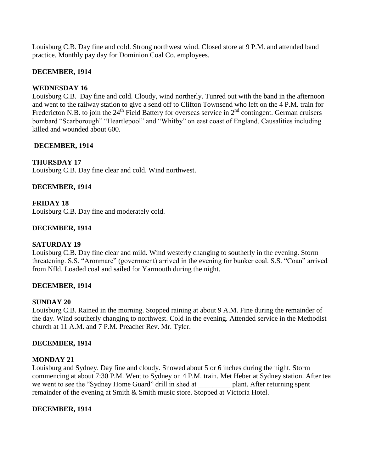Louisburg C.B. Day fine and cold. Strong northwest wind. Closed store at 9 P.M. and attended band practice. Monthly pay day for Dominion Coal Co. employees.

### **DECEMBER, 1914**

### **WEDNESDAY 16**

Louisburg C.B. Day fine and cold. Cloudy, wind northerly. Tunred out with the band in the afternoon and went to the railway station to give a send off to Clifton Townsend who left on the 4 P.M. train for Fredericton N.B. to join the 24<sup>th</sup> Field Battery for overseas service in 2<sup>nd</sup> contingent. German cruisers bombard "Scarborough" "Heartlepool" and "Whitby" on east coast of England. Causalities including killed and wounded about 600.

### **DECEMBER, 1914**

### **THURSDAY 17**

Louisburg C.B. Day fine clear and cold. Wind northwest.

### **DECEMBER, 1914**

### **FRIDAY 18**

Louisburg C.B. Day fine and moderately cold.

### **DECEMBER, 1914**

### **SATURDAY 19**

Louisburg C.B. Day fine clear and mild. Wind westerly changing to southerly in the evening. Storm threatening. S.S. "Aronmare" (government) arrived in the evening for bunker coal. S.S. "Coan" arrived from Nfld. Loaded coal and sailed for Yarmouth during the night.

### **DECEMBER, 1914**

### **SUNDAY 20**

Louisburg C.B. Rained in the morning. Stopped raining at about 9 A.M. Fine during the remainder of the day. Wind southerly changing to northwest. Cold in the evening. Attended service in the Methodist church at 11 A.M. and 7 P.M. Preacher Rev. Mr. Tyler.

### **DECEMBER, 1914**

#### **MONDAY 21**

Louisburg and Sydney. Day fine and cloudy. Snowed about 5 or 6 inches during the night. Storm commencing at about 7:30 P.M. Went to Sydney on 4 P.M. train. Met Heber at Sydney station. After tea we went to see the "Sydney Home Guard" drill in shed at plant. After returning spent remainder of the evening at Smith & Smith music store. Stopped at Victoria Hotel.

### **DECEMBER, 1914**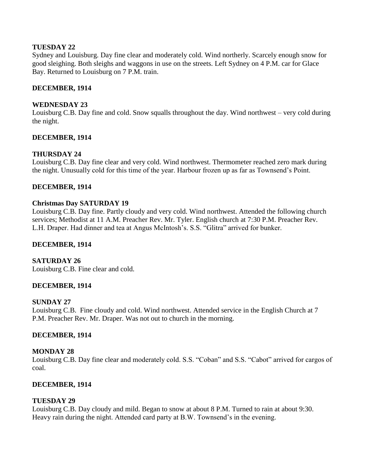## **TUESDAY 22**

Sydney and Louisburg. Day fine clear and moderately cold. Wind northerly. Scarcely enough snow for good sleighing. Both sleighs and waggons in use on the streets. Left Sydney on 4 P.M. car for Glace Bay. Returned to Louisburg on 7 P.M. train.

## **DECEMBER, 1914**

### **WEDNESDAY 23**

Louisburg C.B. Day fine and cold. Snow squalls throughout the day. Wind northwest – very cold during the night.

### **DECEMBER, 1914**

# **THURSDAY 24**

Louisburg C.B. Day fine clear and very cold. Wind northwest. Thermometer reached zero mark during the night. Unusually cold for this time of the year. Harbour frozen up as far as Townsend"s Point.

### **DECEMBER, 1914**

### **Christmas Day SATURDAY 19**

Louisburg C.B. Day fine. Partly cloudy and very cold. Wind northwest. Attended the following church services; Methodist at 11 A.M. Preacher Rev. Mr. Tyler. English church at 7:30 P.M. Preacher Rev. L.H. Draper. Had dinner and tea at Angus McIntosh"s. S.S. "Glitra" arrived for bunker.

### **DECEMBER, 1914**

# **SATURDAY 26**

Louisburg C.B. Fine clear and cold.

### **DECEMBER, 1914**

### **SUNDAY 27**

Louisburg C.B. Fine cloudy and cold. Wind northwest. Attended service in the English Church at 7 P.M. Preacher Rev. Mr. Draper. Was not out to church in the morning.

### **DECEMBER, 1914**

### **MONDAY 28**

Louisburg C.B. Day fine clear and moderately cold. S.S. "Coban" and S.S. "Cabot" arrived for cargos of coal.

### **DECEMBER, 1914**

### **TUESDAY 29**

Louisburg C.B. Day cloudy and mild. Began to snow at about 8 P.M. Turned to rain at about 9:30. Heavy rain during the night. Attended card party at B.W. Townsend's in the evening.